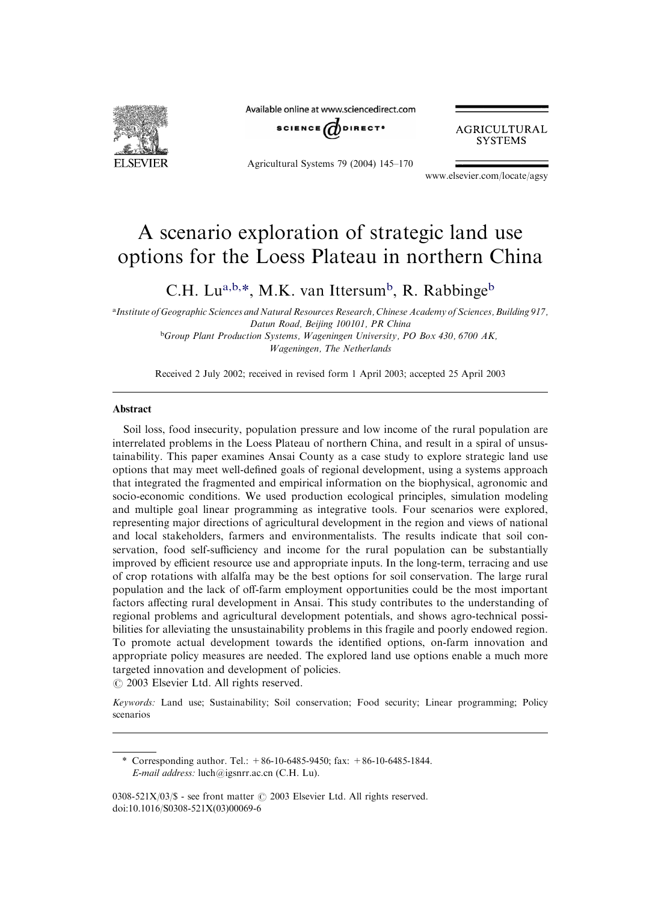

Available online at www.sciencedirect.com



Agricultural Systems 79 (2004) 145–170

**AGRICULTURAL SYSTEMS** 

[www.elsevier.com/locate/agsy](http://www.elsevier.com/locate/agsy/a4.3d)

# A scenario exploration of strategic land use options for the Loess Plateau in northern China

C.H. Lu<sup>a,b,\*</sup>, M.K. van Ittersum<sup>b</sup>, R. Rabbinge<sup>b</sup>

a Institute of Geographic Sciences and Natural Resources Research, Chinese Academy of Sciences, Building 917, Datun Road, Beijing 100101, PR China <sup>b</sup>Group Plant Production Systems, Wageningen University, PO Box 430, 6700 AK, Wageningen, The Netherlands

Received 2 July 2002; received in revised form 1 April 2003; accepted 25 April 2003

### Abstract

Soil loss, food insecurity, population pressure and low income of the rural population are interrelated problems in the Loess Plateau of northern China, and result in a spiral of unsustainability. This paper examines Ansai County as a case study to explore strategic land use options that may meet well-defined goals of regional development, using a systems approach that integrated the fragmented and empirical information on the biophysical, agronomic and socio-economic conditions. We used production ecological principles, simulation modeling and multiple goal linear programming as integrative tools. Four scenarios were explored, representing major directions of agricultural development in the region and views of national and local stakeholders, farmers and environmentalists. The results indicate that soil conservation, food self-sufficiency and income for the rural population can be substantially improved by efficient resource use and appropriate inputs. In the long-term, terracing and use of crop rotations with alfalfa may be the best options for soil conservation. The large rural population and the lack of off-farm employment opportunities could be the most important factors affecting rural development in Ansai. This study contributes to the understanding of regional problems and agricultural development potentials, and shows agro-technical possibilities for alleviating the unsustainability problems in this fragile and poorly endowed region. To promote actual development towards the identified options, on-farm innovation and appropriate policy measures are needed. The explored land use options enable a much more targeted innovation and development of policies.

 $\odot$  2003 Elsevier Ltd. All rights reserved.

Keywords: Land use; Sustainability; Soil conservation; Food security; Linear programming; Policy scenarios

<sup>\*</sup> Corresponding author. Tel.:  $+86-10-6485-9450$ ; fax:  $+86-10-6485-1844$ . E-mail address: [luch@igsnrr.ac.cn](mailto:luch@igsnrr.ac.cn) (C.H. Lu).

<sup>0308-521</sup>X/03/\$ - see front matter  $\odot$  2003 Elsevier Ltd. All rights reserved. doi:10.1016/S0308-521X(03)00069-6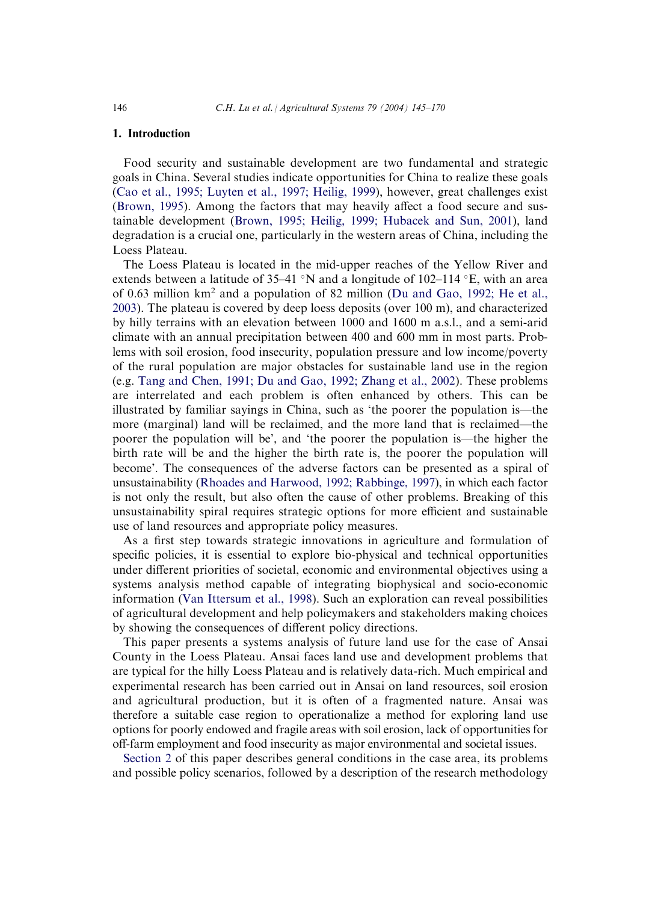## 1. Introduction

Food security and sustainable development are two fundamental and strategic goals in China. Several studies indicate opportunities for China to realize these goals ([Cao et al., 1995; Luyten et al., 1997; Heilig, 1999](#page-23-0)), however, great challenges exist (Brown, 1995). Among the factors that may heavily affect a food secure and sustainable development (Brown, 1995; Heilig, 1999; Hubacek and Sun, 2001), land degradation is a crucial one, particularly in the western areas of China, including the Loess Plateau.

The Loess Plateau is located in the mid-upper reaches of the Yellow River and extends between a latitude of  $35-41$  °N and a longitude of  $102-114$  °E, with an area of 0.63 million  $km^2$  and a population of 82 million ([Du and Gao, 1992; He et al.,](#page-23-0) [2003\)](#page-23-0). The plateau is covered by deep loess deposits (over 100 m), and characterized by hilly terrains with an elevation between 1000 and 1600 m a.s.l., and a semi-arid climate with an annual precipitation between 400 and 600 mm in most parts. Problems with soil erosion, food insecurity, population pressure and low income/poverty of the rural population are major obstacles for sustainable land use in the region (e.g. [Tang and Chen, 1991; Du and Gao, 1992; Zhang et al., 2002](#page-25-0)). These problems are interrelated and each problem is often enhanced by others. This can be illustrated by familiar sayings in China, such as 'the poorer the population is—the more (marginal) land will be reclaimed, and the more land that is reclaimed—the poorer the population will be', and 'the poorer the population is—the higher the birth rate will be and the higher the birth rate is, the poorer the population will become'. The consequences of the adverse factors can be presented as a spiral of unsustainability ([Rhoades and Harwood, 1992; Rabbinge, 1997](#page-24-0)), in which each factor is not only the result, but also often the cause of other problems. Breaking of this unsustainability spiral requires strategic options for more efficient and sustainable use of land resources and appropriate policy measures.

As a first step towards strategic innovations in agriculture and formulation of specific policies, it is essential to explore bio-physical and technical opportunities under different priorities of societal, economic and environmental objectives using a systems analysis method capable of integrating biophysical and socio-economic information [\(Van Ittersum et al., 1998](#page-25-0)). Such an exploration can reveal possibilities of agricultural development and help policymakers and stakeholders making choices by showing the consequences of different policy directions.

This paper presents a systems analysis of future land use for the case of Ansai County in the Loess Plateau. Ansai faces land use and development problems that are typical for the hilly Loess Plateau and is relatively data-rich. Much empirical and experimental research has been carried out in Ansai on land resources, soil erosion and agricultural production, but it is often of a fragmented nature. Ansai was therefore a suitable case region to operationalize a method for exploring land use options for poorly endowed and fragile areas with soil erosion, lack of opportunities for off-farm employment and food insecurity as major environmental and societal issues.

[Section 2](#page-2-0) of this paper describes general conditions in the case area, its problems and possible policy scenarios, followed by a description of the research methodology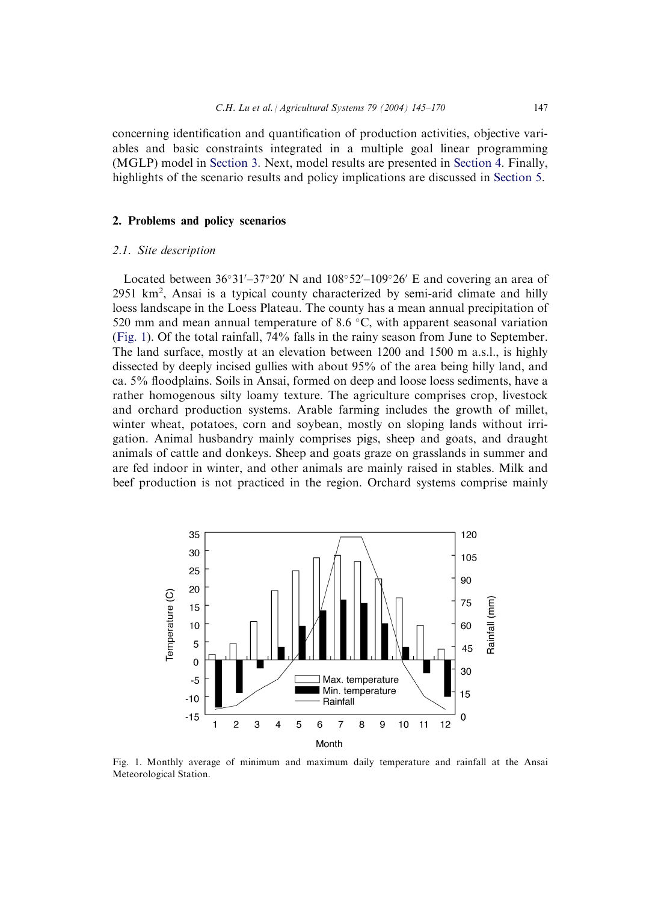<span id="page-2-0"></span>concerning identification and quantification of production activities, objective variables and basic constraints integrated in a multiple goal linear programming (MGLP) model in [Section 3](#page-4-0). Next, model results are presented in [Section 4.](#page-13-0) Finally, highlights of the scenario results and policy implications are discussed in [Section 5](#page-20-0).

#### 2. Problems and policy scenarios

#### 2.1. Site description

Located between  $36^{\circ}31' - 37^{\circ}20'$  N and  $108^{\circ}52' - 109^{\circ}26'$  E and covering an area of 2951 km<sup>2</sup>, Ansai is a typical county characterized by semi-arid climate and hilly loess landscape in the Loess Plateau. The county has a mean annual precipitation of 520 mm and mean annual temperature of 8.6  $\degree$ C, with apparent seasonal variation (Fig. 1). Of the total rainfall, 74% falls in the rainy season from June to September. The land surface, mostly at an elevation between 1200 and 1500 m a.s.l., is highly dissected by deeply incised gullies with about 95% of the area being hilly land, and ca. 5% floodplains. Soils in Ansai, formed on deep and loose loess sediments, have a rather homogenous silty loamy texture. The agriculture comprises crop, livestock and orchard production systems. Arable farming includes the growth of millet, winter wheat, potatoes, corn and soybean, mostly on sloping lands without irrigation. Animal husbandry mainly comprises pigs, sheep and goats, and draught animals of cattle and donkeys. Sheep and goats graze on grasslands in summer and are fed indoor in winter, and other animals are mainly raised in stables. Milk and beef production is not practiced in the region. Orchard systems comprise mainly



Fig. 1. Monthly average of minimum and maximum daily temperature and rainfall at the Ansai Meteorological Station.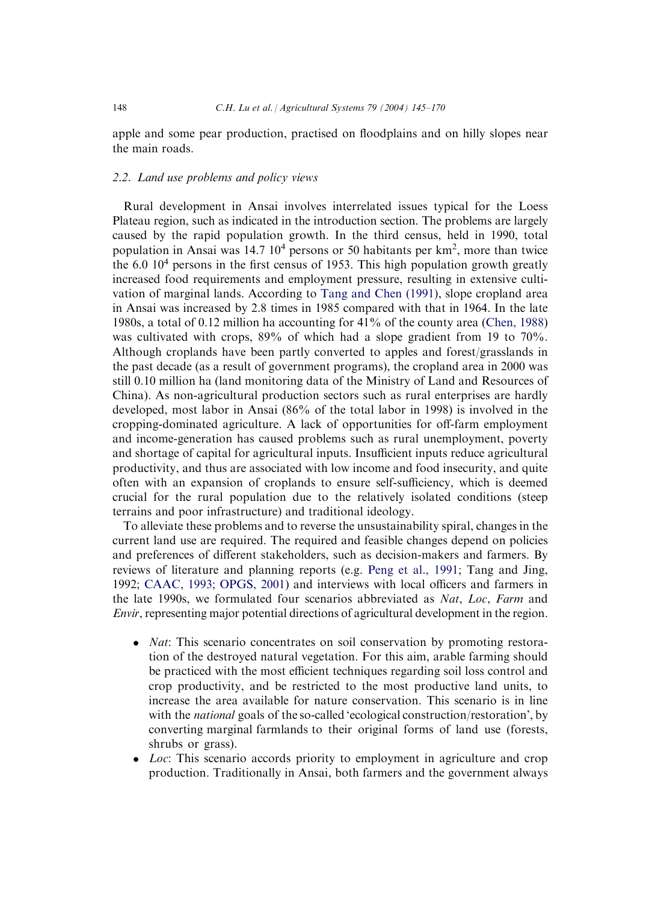<span id="page-3-0"></span>apple and some pear production, practised on floodplains and on hilly slopes near the main roads.

## 2.2. Land use problems and policy views

Rural development in Ansai involves interrelated issues typical for the Loess Plateau region, such as indicated in the introduction section. The problems are largely caused by the rapid population growth. In the third census, held in 1990, total population in Ansai was  $14.7 \times 10^4$  persons or 50 habitants per km<sup>2</sup>, more than twice the  $6.0 \times 10^4$  persons in the first census of 1953. This high population growth greatly increased food requirements and employment pressure, resulting in extensive cultivation of marginal lands. According to [Tang and Chen \(1991\)](#page-25-0), slope cropland area in Ansai was increased by 2.8 times in 1985 compared with that in 1964. In the late 1980s, a total of 0.12 million ha accounting for 41% of the county area [\(Chen, 1988\)](#page-23-0) was cultivated with crops, 89% of which had a slope gradient from 19 to 70%. Although croplands have been partly converted to apples and forest/grasslands in the past decade (as a result of government programs), the cropland area in 2000 was still 0.10 million ha (land monitoring data of the Ministry of Land and Resources of China). As non-agricultural production sectors such as rural enterprises are hardly developed, most labor in Ansai (86% of the total labor in 1998) is involved in the cropping-dominated agriculture. A lack of opportunities for off-farm employment and income-generation has caused problems such as rural unemployment, poverty and shortage of capital for agricultural inputs. Insufficient inputs reduce agricultural productivity, and thus are associated with low income and food insecurity, and quite often with an expansion of croplands to ensure self-sufficiency, which is deemed crucial for the rural population due to the relatively isolated conditions (steep terrains and poor infrastructure) and traditional ideology.

To alleviate these problems and to reverse the unsustainability spiral, changes in the current land use are required. The required and feasible changes depend on policies and preferences of different stakeholders, such as decision-makers and farmers. By reviews of literature and planning reports (e.g. [Peng et al., 1991](#page-24-0); Tang and Jing, 1992; [CAAC, 1993; OPGS, 2001\)](#page-23-0) and interviews with local officers and farmers in the late 1990s, we formulated four scenarios abbreviated as *Nat, Loc, Farm* and Envir, representing major potential directions of agricultural development in the region.

- *Nat*: This scenario concentrates on soil conservation by promoting restoration of the destroyed natural vegetation. For this aim, arable farming should be practiced with the most efficient techniques regarding soil loss control and crop productivity, and be restricted to the most productive land units, to increase the area available for nature conservation. This scenario is in line with the *national* goals of the so-called 'ecological construction/restoration', by converting marginal farmlands to their original forms of land use (forests, shrubs or grass).
- Loc: This scenario accords priority to employment in agriculture and crop production. Traditionally in Ansai, both farmers and the government always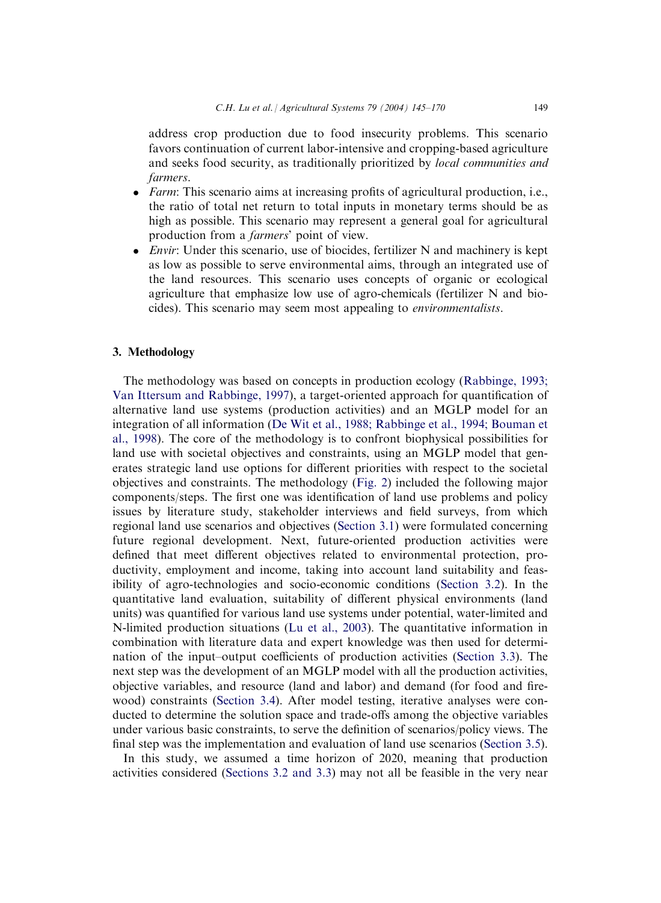<span id="page-4-0"></span>address crop production due to food insecurity problems. This scenario favors continuation of current labor-intensive and cropping-based agriculture and seeks food security, as traditionally prioritized by local communities and farmers.

- Farm: This scenario aims at increasing profits of agricultural production, i.e., the ratio of total net return to total inputs in monetary terms should be as high as possible. This scenario may represent a general goal for agricultural production from a farmers' point of view.
- $\bullet$  *Envir*: Under this scenario, use of biocides, fertilizer N and machinery is kept as low as possible to serve environmental aims, through an integrated use of the land resources. This scenario uses concepts of organic or ecological agriculture that emphasize low use of agro-chemicals (fertilizer N and biocides). This scenario may seem most appealing to environmentalists.

## 3. Methodology

The methodology was based on concepts in production ecology ([Rabbinge, 1993;](#page-24-0) [Van Ittersum and Rabbinge, 1997](#page-24-0)), a target-oriented approach for quantification of alternative land use systems (production activities) and an MGLP model for an integration of all information ([De Wit et al., 1988; Rabbinge et al., 1994; Bouman et](#page-23-0) [al., 1998](#page-23-0)). The core of the methodology is to confront biophysical possibilities for land use with societal objectives and constraints, using an MGLP model that generates strategic land use options for different priorities with respect to the societal objectives and constraints. The methodology [\(Fig. 2](#page-5-0)) included the following major components/steps. The first one was identification of land use problems and policy issues by literature study, stakeholder interviews and field surveys, from which regional land use scenarios and objectives [\(Section 3.1](#page-5-0)) were formulated concerning future regional development. Next, future-oriented production activities were defined that meet different objectives related to environmental protection, productivity, employment and income, taking into account land suitability and feasibility of agro-technologies and socio-economic conditions ([Section 3.2](#page-6-0)). In the quantitative land evaluation, suitability of different physical environments (land units) was quantified for various land use systems under potential, water-limited and N-limited production situations [\(Lu et al., 2003](#page-24-0)). The quantitative information in combination with literature data and expert knowledge was then used for determination of the input–output coefficients of production activities [\(Section 3.3](#page-7-0)). The next step was the development of an MGLP model with all the production activities, objective variables, and resource (land and labor) and demand (for food and firewood) constraints ([Section 3.4\)](#page-10-0). After model testing, iterative analyses were conducted to determine the solution space and trade-offs among the objective variables under various basic constraints, to serve the definition of scenarios/policy views. The final step was the implementation and evaluation of land use scenarios ([Section 3.5](#page-12-0)).

In this study, we assumed a time horizon of 2020, meaning that production activities considered ([Sections 3.2 and 3.3](#page-6-0)) may not all be feasible in the very near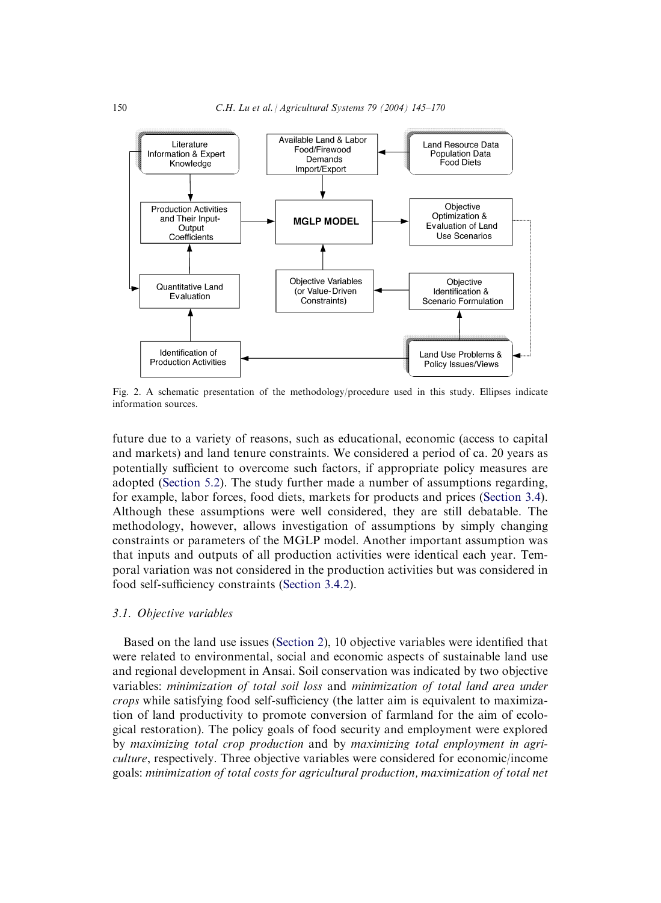

Fig. 2. A schematic presentation of the methodology/procedure used in this study. Ellipses indicate information sources.

future due to a variety of reasons, such as educational, economic (access to capital and markets) and land tenure constraints. We considered a period of ca. 20 years as potentially sufficient to overcome such factors, if appropriate policy measures are adopted ([Section 5.2](#page-21-0)). The study further made a number of assumptions regarding, for example, labor forces, food diets, markets for products and prices [\(Section 3.4](#page-10-0)). Although these assumptions were well considered, they are still debatable. The methodology, however, allows investigation of assumptions by simply changing constraints or parameters of the MGLP model. Another important assumption was that inputs and outputs of all production activities were identical each year. Temporal variation was not considered in the production activities but was considered in food self-sufficiency constraints [\(Section 3.4.2\)](#page-11-0).

## 3.1. Objective variables

Based on the land use issues ([Section 2\)](#page-2-0), 10 objective variables were identified that were related to environmental, social and economic aspects of sustainable land use and regional development in Ansai. Soil conservation was indicated by two objective variables: minimization of total soil loss and minimization of total land area under crops while satisfying food self-sufficiency (the latter aim is equivalent to maximization of land productivity to promote conversion of farmland for the aim of ecological restoration). The policy goals of food security and employment were explored by maximizing total crop production and by maximizing total employment in agriculture, respectively. Three objective variables were considered for economic/income goals: minimization of total costs for agricultural production, maximization of total net

<span id="page-5-0"></span>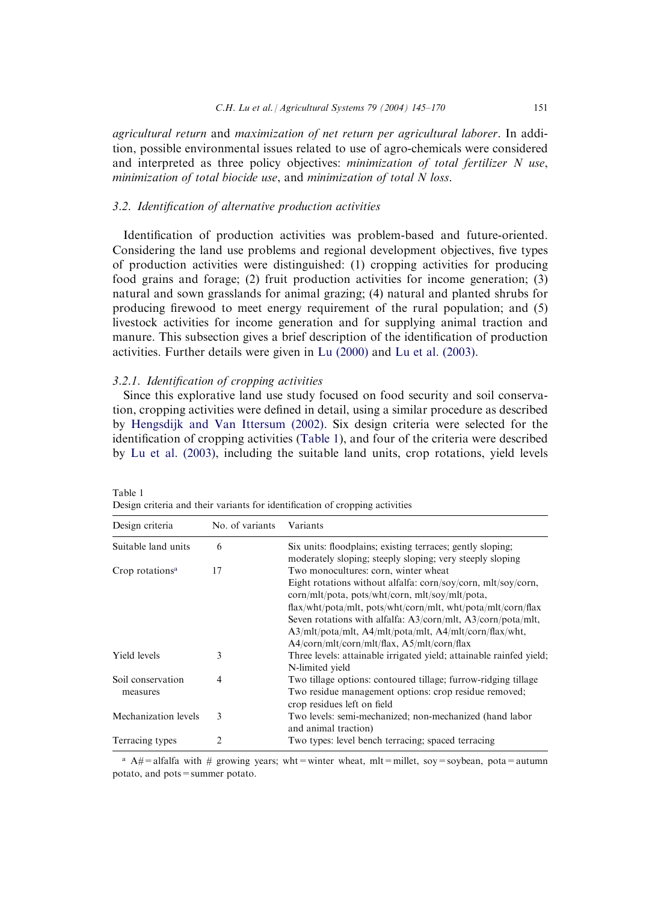<span id="page-6-0"></span>agricultural return and maximization of net return per agricultural laborer. In addition, possible environmental issues related to use of agro-chemicals were considered and interpreted as three policy objectives: *minimization of total fertilizer*  $N$  use, minimization of total biocide use, and minimization of total N loss.

## 3.2. Identification of alternative production activities

Identification of production activities was problem-based and future-oriented. Considering the land use problems and regional development objectives, five types of production activities were distinguished: (1) cropping activities for producing food grains and forage; (2) fruit production activities for income generation; (3) natural and sown grasslands for animal grazing; (4) natural and planted shrubs for producing firewood to meet energy requirement of the rural population; and (5) livestock activities for income generation and for supplying animal traction and manure. This subsection gives a brief description of the identification of production activities. Further details were given in [Lu \(2000\)](#page-24-0) and [Lu et al. \(2003\)](#page-24-0).

## 3.2.1. Identification of cropping activities

Since this explorative land use study focused on food security and soil conservation, cropping activities were defined in detail, using a similar procedure as described by [Hengsdijk and Van Ittersum \(2002\).](#page-24-0) Six design criteria were selected for the identification of cropping activities (Table 1), and four of the criteria were described by [Lu et al. \(2003\),](#page-24-0) including the suitable land units, crop rotations, yield levels

| Design criteria               | No. of variants | Variants                                                                                                                                                                                                                                                                                                                                                                                                                                                                                                       |
|-------------------------------|-----------------|----------------------------------------------------------------------------------------------------------------------------------------------------------------------------------------------------------------------------------------------------------------------------------------------------------------------------------------------------------------------------------------------------------------------------------------------------------------------------------------------------------------|
| Suitable land units           | 6               | Six units: floodplains; existing terraces; gently sloping;<br>moderately sloping; steeply sloping; very steeply sloping                                                                                                                                                                                                                                                                                                                                                                                        |
| Crop rotations <sup>a</sup>   | 17              | Two monocultures: corn, winter wheat<br>Eight rotations without alfalfa: corn/soy/corn, mlt/soy/corn,<br>corn/mlt/pota, pots/wht/corn, mlt/soy/mlt/pota,<br>$\frac{f}{\text{max}}\text{wht}/\text{pota}/\text{mlt}$ , $\frac{pots}{\text{wht}/\text{corn}}$ , wht $\frac{pota}{\text{mlt}/\text{corn}}$ $\frac{f}{\text{max}}$<br>Seven rotations with alfalfa: $A3/corn/mlt$ , $A3/corn/pota/mlt$ ,<br>A3/mlt/pota/mlt, A4/mlt/pota/mlt, A4/mlt/corn/flax/wht,<br>A4/corn/mlt/corn/mlt/flax, A5/mlt/corn/flax |
| Yield levels                  | 3               | Three levels: attainable irrigated yield; attainable rainfed yield;<br>N-limited yield                                                                                                                                                                                                                                                                                                                                                                                                                         |
| Soil conservation<br>measures | 4               | Two tillage options: contoured tillage; furrow-ridging tillage<br>Two residue management options: crop residue removed;<br>crop residues left on field                                                                                                                                                                                                                                                                                                                                                         |
| Mechanization levels          | 3               | Two levels: semi-mechanized; non-mechanized (hand labor<br>and animal traction)                                                                                                                                                                                                                                                                                                                                                                                                                                |
| Terracing types               | 2               | Two types: level bench terracing; spaced terracing                                                                                                                                                                                                                                                                                                                                                                                                                                                             |

Table 1

| Design criteria and their variants for identification of cropping activities |  |  |  |  |
|------------------------------------------------------------------------------|--|--|--|--|
|                                                                              |  |  |  |  |

<sup>a</sup>  $A#$  = alfalfa with  $#$  growing years; wht = winter wheat, mlt = millet, soy = soybean, pota = autumn potato, and pots=summer potato.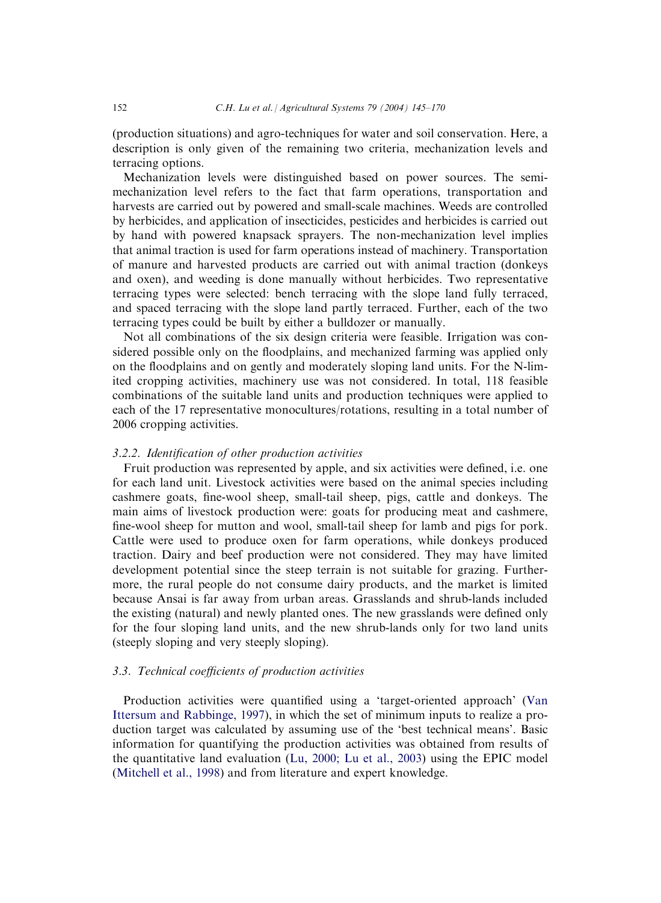<span id="page-7-0"></span>(production situations) and agro-techniques for water and soil conservation. Here, a description is only given of the remaining two criteria, mechanization levels and terracing options.

Mechanization levels were distinguished based on power sources. The semimechanization level refers to the fact that farm operations, transportation and harvests are carried out by powered and small-scale machines. Weeds are controlled by herbicides, and application of insecticides, pesticides and herbicides is carried out by hand with powered knapsack sprayers. The non-mechanization level implies that animal traction is used for farm operations instead of machinery. Transportation of manure and harvested products are carried out with animal traction (donkeys and oxen), and weeding is done manually without herbicides. Two representative terracing types were selected: bench terracing with the slope land fully terraced, and spaced terracing with the slope land partly terraced. Further, each of the two terracing types could be built by either a bulldozer or manually.

Not all combinations of the six design criteria were feasible. Irrigation was considered possible only on the floodplains, and mechanized farming was applied only on the floodplains and on gently and moderately sloping land units. For the N-limited cropping activities, machinery use was not considered. In total, 118 feasible combinations of the suitable land units and production techniques were applied to each of the 17 representative monocultures/rotations, resulting in a total number of 2006 cropping activities.

## 3.2.2. Identification of other production activities

Fruit production was represented by apple, and six activities were defined, i.e. one for each land unit. Livestock activities were based on the animal species including cashmere goats, fine-wool sheep, small-tail sheep, pigs, cattle and donkeys. The main aims of livestock production were: goats for producing meat and cashmere, fine-wool sheep for mutton and wool, small-tail sheep for lamb and pigs for pork. Cattle were used to produce oxen for farm operations, while donkeys produced traction. Dairy and beef production were not considered. They may have limited development potential since the steep terrain is not suitable for grazing. Furthermore, the rural people do not consume dairy products, and the market is limited because Ansai is far away from urban areas. Grasslands and shrub-lands included the existing (natural) and newly planted ones. The new grasslands were defined only for the four sloping land units, and the new shrub-lands only for two land units (steeply sloping and very steeply sloping).

## 3.3. Technical coefficients of production activities

Production activities were quantified using a 'target-oriented approach' ([Van](#page-25-0) [Ittersum and Rabbinge, 1997\)](#page-25-0), in which the set of minimum inputs to realize a production target was calculated by assuming use of the 'best technical means'. Basic information for quantifying the production activities was obtained from results of the quantitative land evaluation ([Lu, 2000; Lu et al., 2003](#page-24-0)) using the EPIC model ([Mitchell et al., 1998](#page-24-0)) and from literature and expert knowledge.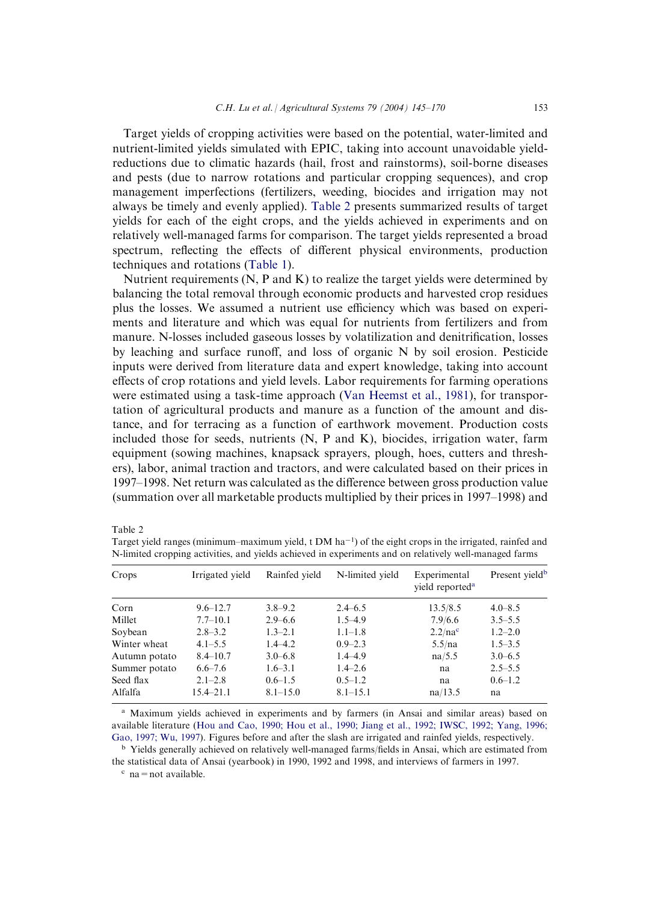Target yields of cropping activities were based on the potential, water-limited and nutrient-limited yields simulated with EPIC, taking into account unavoidable yieldreductions due to climatic hazards (hail, frost and rainstorms), soil-borne diseases and pests (due to narrow rotations and particular cropping sequences), and crop management imperfections (fertilizers, weeding, biocides and irrigation may not always be timely and evenly applied). Table 2 presents summarized results of target yields for each of the eight crops, and the yields achieved in experiments and on relatively well-managed farms for comparison. The target yields represented a broad spectrum, reflecting the effects of different physical environments, production techniques and rotations ([Table 1\)](#page-6-0).

Nutrient requirements  $(N, P \text{ and } K)$  to realize the target yields were determined by balancing the total removal through economic products and harvested crop residues plus the losses. We assumed a nutrient use efficiency which was based on experiments and literature and which was equal for nutrients from fertilizers and from manure. N-losses included gaseous losses by volatilization and denitrification, losses by leaching and surface runoff, and loss of organic N by soil erosion. Pesticide inputs were derived from literature data and expert knowledge, taking into account effects of crop rotations and yield levels. Labor requirements for farming operations were estimated using a task-time approach ([Van Heemst et al., 1981](#page-25-0)), for transportation of agricultural products and manure as a function of the amount and distance, and for terracing as a function of earthwork movement. Production costs included those for seeds, nutrients (N, P and K), biocides, irrigation water, farm equipment (sowing machines, knapsack sprayers, plough, hoes, cutters and threshers), labor, animal traction and tractors, and were calculated based on their prices in 1997–1998. Net return was calculated as the difference between gross production value (summation over all marketable products multiplied by their prices in 1997–1998) and

Table 2

Target yield ranges (minimum–maximum yield,  $t$  DM ha<sup>-1</sup>) of the eight crops in the irrigated, rainfed and N-limited cropping activities, and yields achieved in experiments and on relatively well-managed farms

| Crops         | Irrigated vield | Rainfed vield | N-limited yield | Experimental<br>yield reported <sup>a</sup> | Present yield <sup>b</sup> |  |
|---------------|-----------------|---------------|-----------------|---------------------------------------------|----------------------------|--|
| Corn          | $9.6 - 12.7$    | $3.8 - 9.2$   | $2.4 - 6.5$     | 13.5/8.5                                    | $4.0 - 8.5$                |  |
| Millet        | $7.7 - 10.1$    | $2.9 - 6.6$   | $1.5 - 4.9$     | 7.9/6.6                                     | $3.5 - 5.5$                |  |
| Soybean       | $2.8 - 3.2$     | $1.3 - 2.1$   | $1.1 - 1.8$     | $2.2/na^c$                                  | $1.2 - 2.0$                |  |
| Winter wheat  | $4.1 - 5.5$     | $1.4 - 4.2$   | $0.9 - 2.3$     | 5.5/na                                      | $1.5 - 3.5$                |  |
| Autumn potato | $8.4 - 10.7$    | $3.0 - 6.8$   | $1.4 - 4.9$     | na/5.5                                      | $3.0 - 6.5$                |  |
| Summer potato | $6.6 - 7.6$     | $1.6 - 3.1$   | $1.4 - 2.6$     | na                                          | $2.5 - 5.5$                |  |
| Seed flax     | $2.1 - 2.8$     | $0.6 - 1.5$   | $0.5 - 1.2$     | na                                          | $0.6 - 1.2$                |  |
| Alfalfa       | $15.4 - 21.1$   | $8.1 - 15.0$  | $8.1 - 15.1$    | na/13.5                                     | na                         |  |
|               |                 |               |                 |                                             |                            |  |

<sup>a</sup> Maximum yields achieved in experiments and by farmers (in Ansai and similar areas) based on available literature ([Hou and Cao, 1990; Hou et al., 1990; Jiang et al., 1992; IWSC, 1992; Yang, 1996;](#page-24-0) [Gao, 1997; Wu, 1997\)](#page-24-0). Figures before and after the slash are irrigated and rainfed yields, respectively.

<sup>b</sup> Yields generally achieved on relatively well-managed farms/fields in Ansai, which are estimated from the statistical data of Ansai (yearbook) in 1990, 1992 and 1998, and interviews of farmers in 1997.

 $\degree$  na = not available.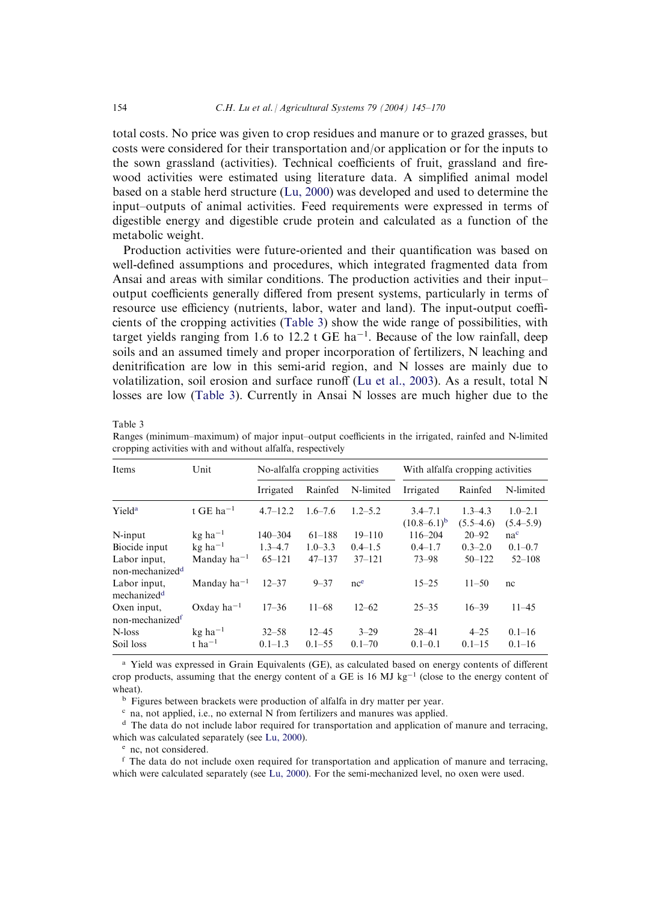<span id="page-9-0"></span>total costs. No price was given to crop residues and manure or to grazed grasses, but costs were considered for their transportation and/or application or for the inputs to the sown grassland (activities). Technical coefficients of fruit, grassland and firewood activities were estimated using literature data. A simplified animal model based on a stable herd structure ([Lu, 2000](#page-24-0)) was developed and used to determine the input–outputs of animal activities. Feed requirements were expressed in terms of digestible energy and digestible crude protein and calculated as a function of the metabolic weight.

Production activities were future-oriented and their quantification was based on well-defined assumptions and procedures, which integrated fragmented data from Ansai and areas with similar conditions. The production activities and their input– output coefficients generally differed from present systems, particularly in terms of resource use efficiency (nutrients, labor, water and land). The input-output coefficients of the cropping activities (Table 3) show the wide range of possibilities, with target yields ranging from 1.6 to 12.2 t GE ha<sup>-1</sup>. Because of the low rainfall, deep soils and an assumed timely and proper incorporation of fertilizers, N leaching and denitrification are low in this semi-arid region, and N losses are mainly due to volatilization, soil erosion and surface runoff [\(Lu et al., 2003](#page-24-0)). As a result, total N losses are low (Table 3). Currently in Ansai N losses are much higher due to the

Table 3

| Items                                       | Unit                               |              | No-alfalfa cropping activities |                 | With alfalfa cropping activities |                            |                              |  |  |
|---------------------------------------------|------------------------------------|--------------|--------------------------------|-----------------|----------------------------------|----------------------------|------------------------------|--|--|
|                                             |                                    | Irrigated    | Rainfed                        | N-limited       | Irrigated                        | Rainfed                    | N-limited                    |  |  |
| Yield <sup>a</sup>                          | t GE $ha^{-1}$                     | $4.7 - 12.2$ | $1.6 - 7.6$                    | $1.2 - 5.2$     | $3.4 - 7.1$<br>$(10.8-6.1)^{b}$  | $1.3 - 4.3$<br>$(5.5-4.6)$ | $1.0 - 2.1$<br>$(5.4 - 5.9)$ |  |  |
| N-input                                     | $kg$ ha <sup>-1</sup>              | $140 - 304$  | $61 - 188$                     | $19 - 110$      | $116 - 204$                      | $20 - 92$                  | na <sup>c</sup>              |  |  |
| Biocide input                               | $kg$ ha <sup><math>-1</math></sup> | $1.3 - 4.7$  | $1.0 - 3.3$                    | $0.4 - 1.5$     | $0.4 - 1.7$                      | $0.3 - 2.0$                | $0.1 - 0.7$                  |  |  |
| Labor input,<br>non-mechanized <sup>d</sup> | Manday $ha^{-1}$                   | $65 - 121$   | $47 - 137$                     | $37 - 121$      | $73 - 98$                        | $50 - 122$                 | $52 - 108$                   |  |  |
| Labor input,<br>mechanized <sup>d</sup>     | Manday $ha^{-1}$                   | $12 - 37$    | $9 - 37$                       | nc <sup>e</sup> | $15 - 25$                        | $11 - 50$                  | nc                           |  |  |
| Oxen input,<br>non-mechanized <sup>f</sup>  | Oxday $ha^{-1}$                    | $17 - 36$    | $11 - 68$                      | $12 - 62$       | $25 - 35$                        | $16 - 39$                  | $11 - 45$                    |  |  |
| N-loss                                      | $kg$ ha <sup><math>-1</math></sup> | $32 - 58$    | $12 - 45$                      | $3 - 29$        | $28 - 41$                        | $4 - 25$                   | $0.1 - 16$                   |  |  |
| Soil loss                                   | $t$ ha <sup><math>-1</math></sup>  | $0.1 - 1.3$  | $0.1 - 55$                     | $0.1 - 70$      | $0.1 - 0.1$                      | $0.1 - 15$                 | $0.1 - 16$                   |  |  |

Ranges (minimum–maximum) of major input–output coefficients in the irrigated, rainfed and N-limited cropping activities with and without alfalfa, respectively

<sup>a</sup> Yield was expressed in Grain Equivalents (GE), as calculated based on energy contents of different crop products, assuming that the energy content of a GE is 16 MJ kg<sup>-1</sup> (close to the energy content of wheat).

<sup>b</sup> Figures between brackets were production of alfalfa in dry matter per year.

 $\degree$  na, not applied, i.e., no external N from fertilizers and manures was applied.

<sup>d</sup> The data do not include labor required for transportation and application of manure and terracing, which was calculated separately (see [Lu, 2000\)](#page-24-0).

<sup>e</sup> nc, not considered.

 $f$  The data do not include oxen required for transportation and application of manure and terracing, which were calculated separately (see [Lu, 2000\)](#page-24-0). For the semi-mechanized level, no oxen were used.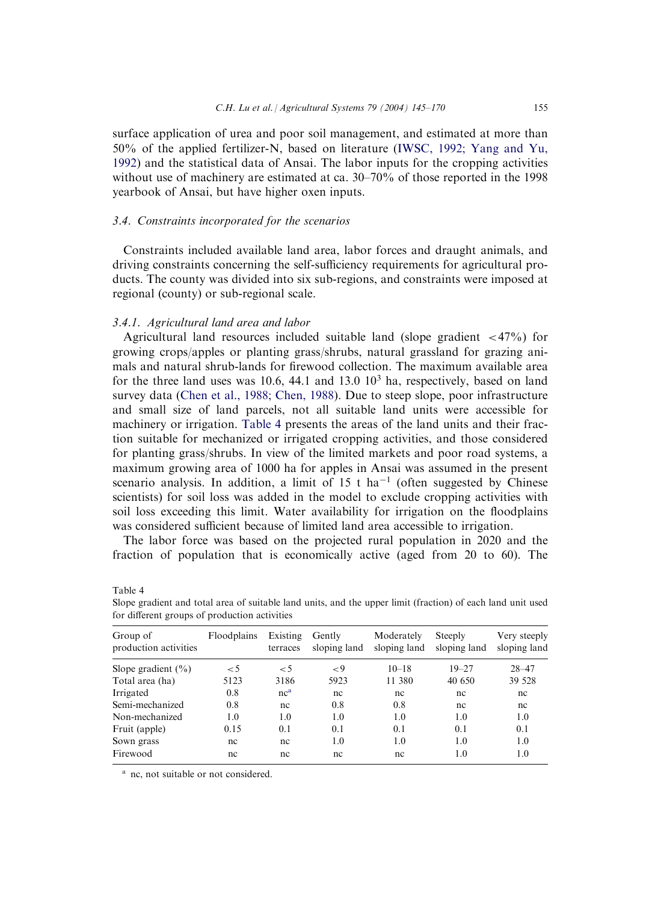<span id="page-10-0"></span>surface application of urea and poor soil management, and estimated at more than 50% of the applied fertilizer-N, based on literature [\(IWSC, 1992; Yang and Yu,](#page-24-0) [1992\)](#page-24-0) and the statistical data of Ansai. The labor inputs for the cropping activities without use of machinery are estimated at ca. 30–70% of those reported in the 1998 yearbook of Ansai, but have higher oxen inputs.

## 3.4. Constraints incorporated for the scenarios

Constraints included available land area, labor forces and draught animals, and driving constraints concerning the self-sufficiency requirements for agricultural products. The county was divided into six sub-regions, and constraints were imposed at regional (county) or sub-regional scale.

#### 3.4.1. Agricultural land area and labor

Agricultural land resources included suitable land (slope gradient  $\lt 47\%$ ) for growing crops/apples or planting grass/shrubs, natural grassland for grazing animals and natural shrub-lands for firewood collection. The maximum available area for the three land uses was 10.6, 44.1 and  $13.0 \times 10^3$  ha, respectively, based on land survey data [\(Chen et al., 1988; Chen, 1988](#page-23-0)). Due to steep slope, poor infrastructure and small size of land parcels, not all suitable land units were accessible for machinery or irrigation. Table 4 presents the areas of the land units and their fraction suitable for mechanized or irrigated cropping activities, and those considered for planting grass/shrubs. In view of the limited markets and poor road systems, a maximum growing area of 1000 ha for apples in Ansai was assumed in the present scenario analysis. In addition, a limit of 15 t ha<sup>-1</sup> (often suggested by Chinese scientists) for soil loss was added in the model to exclude cropping activities with soil loss exceeding this limit. Water availability for irrigation on the floodplains was considered sufficient because of limited land area accessible to irrigation.

The labor force was based on the projected rural population in 2020 and the fraction of population that is economically active (aged from 20 to 60). The

| Group of<br>production activities | <b>Floodplains</b> | Existing<br>terraces | Gently<br>sloping land | Moderately<br>sloping land | <b>Steeply</b><br>sloping land | Very steeply<br>sloping land |
|-----------------------------------|--------------------|----------------------|------------------------|----------------------------|--------------------------------|------------------------------|
| Slope gradient $(\% )$            | $\leq 5$           | $\lt$ 5              | $\lt 9$                | $10 - 18$                  | $19 - 27$                      | $28 - 47$                    |
| Total area (ha)                   | 5123               | 3186                 | 5923                   | 11 380                     | 40 650                         | 39 528                       |
| Irrigated                         | 0.8                | nc <sup>a</sup>      | nc                     | nc                         | nc                             | nc                           |
| Semi-mechanized                   | 0.8                | nc                   | 0.8                    | 0.8                        | nc                             | nc                           |
| Non-mechanized                    | 1.0                | 1.0                  | 1.0                    | 1.0                        | 1.0                            | 1.0                          |
| Fruit (apple)                     | 0.15               | 0.1                  | 0.1                    | 0.1                        | 0.1                            | 0.1                          |
| Sown grass                        | nc                 | nc                   | 1.0                    | 1.0                        | 1.0                            | 1.0                          |
| Firewood                          | nc                 | nc                   | nc                     | nc                         | 1.0                            | 1.0                          |

Slope gradient and total area of suitable land units, and the upper limit (fraction) of each land unit used for different groups of production activities

<sup>a</sup> nc, not suitable or not considered.

Table 4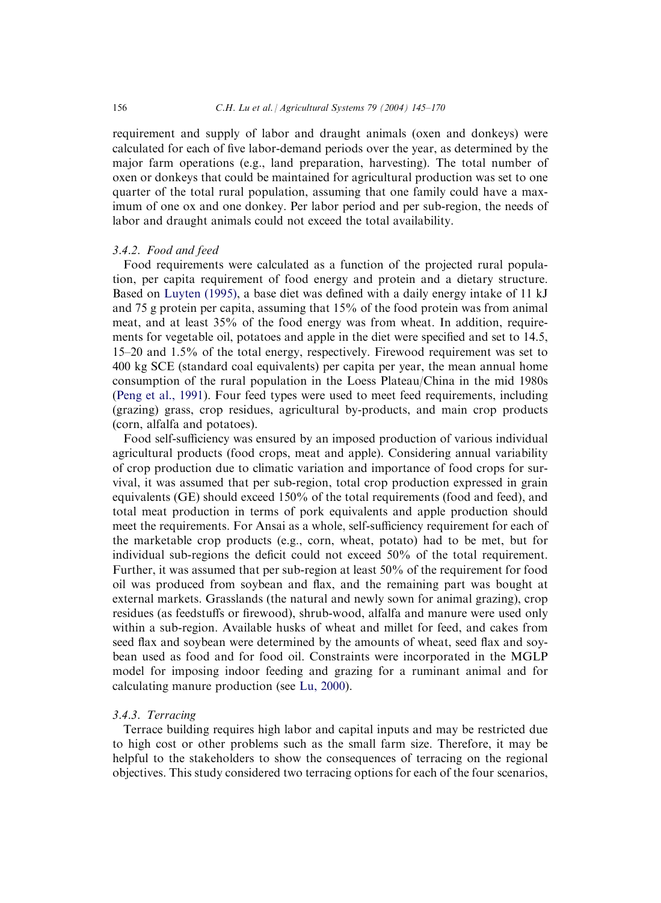<span id="page-11-0"></span>requirement and supply of labor and draught animals (oxen and donkeys) were calculated for each of five labor-demand periods over the year, as determined by the major farm operations (e.g., land preparation, harvesting). The total number of oxen or donkeys that could be maintained for agricultural production was set to one quarter of the total rural population, assuming that one family could have a maximum of one ox and one donkey. Per labor period and per sub-region, the needs of labor and draught animals could not exceed the total availability.

## 3.4.2. Food and feed

Food requirements were calculated as a function of the projected rural population, per capita requirement of food energy and protein and a dietary structure. Based on [Luyten \(1995\)](#page-24-0), a base diet was defined with a daily energy intake of 11 kJ and 75 g protein per capita, assuming that 15% of the food protein was from animal meat, and at least 35% of the food energy was from wheat. In addition, requirements for vegetable oil, potatoes and apple in the diet were specified and set to 14.5, 15–20 and 1.5% of the total energy, respectively. Firewood requirement was set to 400 kg SCE (standard coal equivalents) per capita per year, the mean annual home consumption of the rural population in the Loess Plateau/China in the mid 1980s ([Peng et al., 1991\)](#page-24-0). Four feed types were used to meet feed requirements, including (grazing) grass, crop residues, agricultural by-products, and main crop products (corn, alfalfa and potatoes).

Food self-sufficiency was ensured by an imposed production of various individual agricultural products (food crops, meat and apple). Considering annual variability of crop production due to climatic variation and importance of food crops for survival, it was assumed that per sub-region, total crop production expressed in grain equivalents (GE) should exceed 150% of the total requirements (food and feed), and total meat production in terms of pork equivalents and apple production should meet the requirements. For Ansai as a whole, self-sufficiency requirement for each of the marketable crop products (e.g., corn, wheat, potato) had to be met, but for individual sub-regions the deficit could not exceed 50% of the total requirement. Further, it was assumed that per sub-region at least 50% of the requirement for food oil was produced from soybean and flax, and the remaining part was bought at external markets. Grasslands (the natural and newly sown for animal grazing), crop residues (as feedstuffs or firewood), shrub-wood, alfalfa and manure were used only within a sub-region. Available husks of wheat and millet for feed, and cakes from seed flax and soybean were determined by the amounts of wheat, seed flax and soybean used as food and for food oil. Constraints were incorporated in the MGLP model for imposing indoor feeding and grazing for a ruminant animal and for calculating manure production (see [Lu, 2000](#page-24-0)).

# 3.4.3. Terracing

Terrace building requires high labor and capital inputs and may be restricted due to high cost or other problems such as the small farm size. Therefore, it may be helpful to the stakeholders to show the consequences of terracing on the regional objectives. This study considered two terracing options for each of the four scenarios,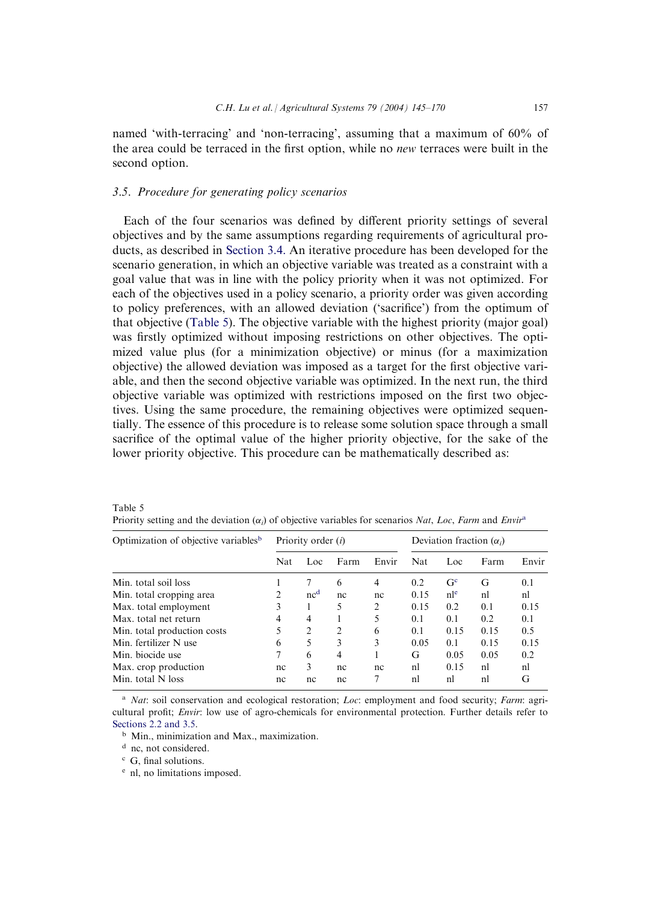<span id="page-12-0"></span>named 'with-terracing' and 'non-terracing', assuming that a maximum of 60% of the area could be terraced in the first option, while no *new* terraces were built in the second option.

# 3.5. Procedure for generating policy scenarios

Each of the four scenarios was defined by different priority settings of several objectives and by the same assumptions regarding requirements of agricultural products, as described in [Section 3.4.](#page-10-0) An iterative procedure has been developed for the scenario generation, in which an objective variable was treated as a constraint with a goal value that was in line with the policy priority when it was not optimized. For each of the objectives used in a policy scenario, a priority order was given according to policy preferences, with an allowed deviation ('sacrifice') from the optimum of that objective (Table 5). The objective variable with the highest priority (major goal) was firstly optimized without imposing restrictions on other objectives. The optimized value plus (for a minimization objective) or minus (for a maximization objective) the allowed deviation was imposed as a target for the first objective variable, and then the second objective variable was optimized. In the next run, the third objective variable was optimized with restrictions imposed on the first two objectives. Using the same procedure, the remaining objectives were optimized sequentially. The essence of this procedure is to release some solution space through a small sacrifice of the optimal value of the higher priority objective, for the sake of the lower priority objective. This procedure can be mathematically described as:

| Optimization of objective variables <sup>b</sup> |            | Priority order ( <i>i</i> ) |      |       | Deviation fraction $(\alpha_i)$ |                |      |       |  |
|--------------------------------------------------|------------|-----------------------------|------|-------|---------------------------------|----------------|------|-------|--|
|                                                  | <b>Nat</b> | Loc                         | Farm | Envir | Nat                             | Loc            | Farm | Envir |  |
| Min. total soil loss                             |            |                             | 6    | 4     | 0.2                             | G <sup>c</sup> | G    | 0.1   |  |
| Min. total cropping area                         | 2          | nc <sup>d</sup>             | nc   | nc    | 0.15                            | n <sup>e</sup> | nl   | nl    |  |
| Max. total employment                            | 3          |                             | 5    | 2     | 0.15                            | 0.2            | 0.1  | 0.15  |  |
| Max. total net return                            | 4          | $\overline{4}$              |      | 5     | 0.1                             | 0.1            | 0.2  | 0.1   |  |
| Min. total production costs                      | 5          | $\mathfrak{D}_{1}$          | 2    | 6     | 0.1                             | 0.15           | 0.15 | 0.5   |  |
| Min. fertilizer N use                            | 6          | 5                           | 3    | 3     | 0.05                            | 0.1            | 0.15 | 0.15  |  |
| Min. biocide use                                 |            | 6                           | 4    |       | G                               | 0.05           | 0.05 | 0.2   |  |
| Max. crop production                             | nc         | 3                           | nc   | nc    | nl                              | 0.15           | nl   | nl    |  |
| Min. total N loss                                | nc         | nc                          | nc   |       | nl                              | nl             | nl   | G     |  |

Table 5 Priority setting and the deviation  $(\alpha_i)$  of objective variables for scenarios Nat, Loc, Farm and Envira

<sup>a</sup> Nat: soil conservation and ecological restoration; Loc: employment and food security; Farm: agricultural profit; Envir: low use of agro-chemicals for environmental protection. Further details refer to [Sections 2.2 and 3.5.](#page-3-0)

<sup>b</sup> Min., minimization and Max., maximization.

<sup>d</sup> nc, not considered.

<sup>c</sup> G, final solutions.

<sup>e</sup> nl, no limitations imposed.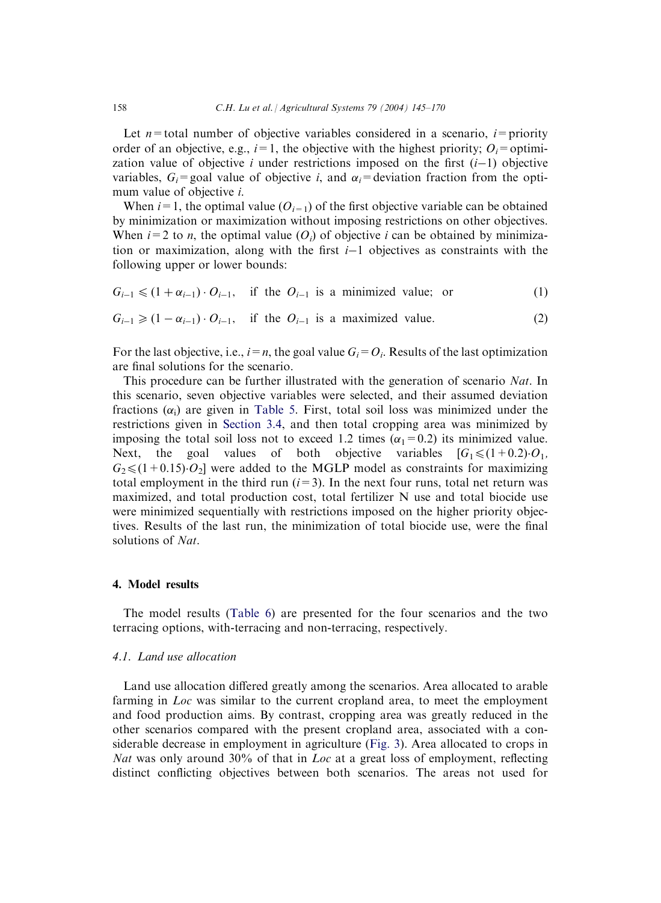Let  $n=$  total number of objective variables considered in a scenario,  $i=$  priority order of an objective, e.g.,  $i=1$ , the objective with the highest priority;  $O_i$ = optimization value of objective *i* under restrictions imposed on the first  $(i-1)$  objective variables,  $G_i$  = goal value of objective *i*, and  $\alpha_i$  = deviation fraction from the optimum value of objective *i*.

When  $i=1$ , the optimal value  $(O_{i=1})$  of the first objective variable can be obtained by minimization or maximization without imposing restrictions on other objectives. When  $i=2$  to *n*, the optimal value  $(O_i)$  of objective i can be obtained by minimization or maximization, along with the first  $i-1$  objectives as constraints with the following upper or lower bounds:

$$
G_{i-1} \leq (1 + \alpha_{i-1}) \cdot O_{i-1}, \quad \text{if the } O_{i-1} \text{ is a minimized value; or} \tag{1}
$$

$$
G_{i-1} \geq (1 - \alpha_{i-1}) \cdot O_{i-1}, \quad \text{if the } O_{i-1} \text{ is a maximized value.} \tag{2}
$$

For the last objective, i.e.,  $i=n$ , the goal value  $G_i=O_i$ . Results of the last optimization are final solutions for the scenario.

This procedure can be further illustrated with the generation of scenario Nat. In this scenario, seven objective variables were selected, and their assumed deviation fractions  $(\alpha_i)$  are given in [Table 5.](#page-12-0) First, total soil loss was minimized under the restrictions given in [Section 3.4](#page-10-0), and then total cropping area was minimized by imposing the total soil loss not to exceed 1.2 times ( $\alpha_1 = 0.2$ ) its minimized value. Next, the goal values of both objective variables  $[G_1 \leq (1+0.2) \cdot O_1]$ ,  $G_2 \leq (1+0.15) \cdot O_2$  were added to the MGLP model as constraints for maximizing total employment in the third run  $(i=3)$ . In the next four runs, total net return was maximized, and total production cost, total fertilizer N use and total biocide use were minimized sequentially with restrictions imposed on the higher priority objectives. Results of the last run, the minimization of total biocide use, were the final solutions of Nat.

# 4. Model results

The model results [\(Table 6](#page-14-0)) are presented for the four scenarios and the two terracing options, with-terracing and non-terracing, respectively.

## 4.1. Land use allocation

Land use allocation differed greatly among the scenarios. Area allocated to arable farming in *Loc* was similar to the current cropland area, to meet the employment and food production aims. By contrast, cropping area was greatly reduced in the other scenarios compared with the present cropland area, associated with a considerable decrease in employment in agriculture [\(Fig. 3\)](#page-15-0). Area allocated to crops in Nat was only around 30% of that in Loc at a great loss of employment, reflecting distinct conflicting objectives between both scenarios. The areas not used for

<span id="page-13-0"></span>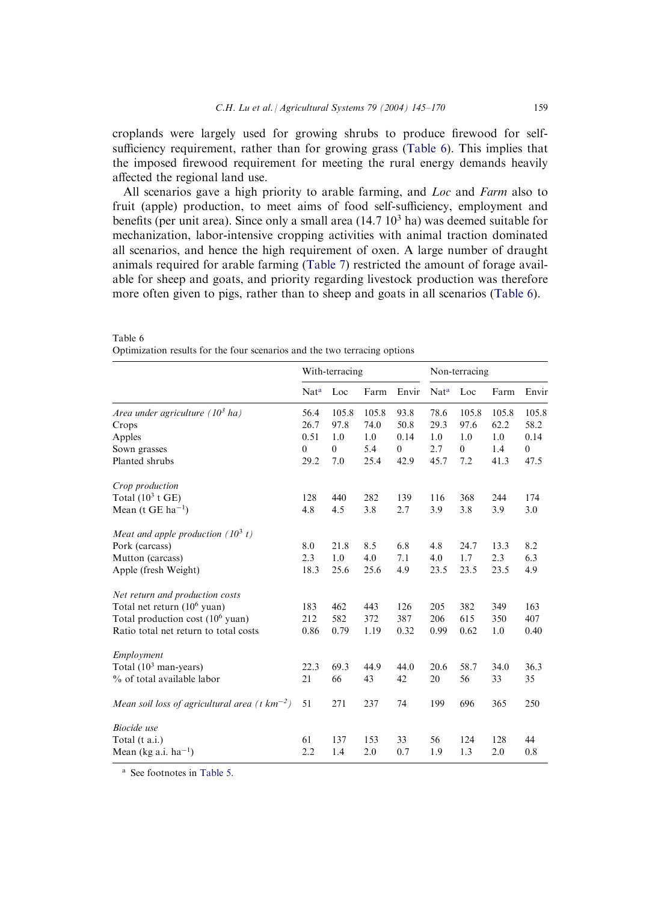<span id="page-14-0"></span>croplands were largely used for growing shrubs to produce firewood for selfsufficiency requirement, rather than for growing grass (Table 6). This implies that the imposed firewood requirement for meeting the rural energy demands heavily affected the regional land use.

All scenarios gave a high priority to arable farming, and Loc and Farm also to fruit (apple) production, to meet aims of food self-sufficiency, employment and benefits (per unit area). Since only a small area  $(14.7 10<sup>3</sup>$  ha) was deemed suitable for mechanization, labor-intensive cropping activities with animal traction dominated all scenarios, and hence the high requirement of oxen. A large number of draught animals required for arable farming [\(Table 7\)](#page-16-0) restricted the amount of forage available for sheep and goats, and priority regarding livestock production was therefore more often given to pigs, rather than to sheep and goats in all scenarios (Table 6).

| $\mathbf{W}^{T}$ and $\mathbf{W}^{T}$                                     |  |
|---------------------------------------------------------------------------|--|
| Optimization results for the four scenarios and the two terracing options |  |

|                                                    |          | With-terracing |       |          | Non-terracing |              |       |              |  |
|----------------------------------------------------|----------|----------------|-------|----------|---------------|--------------|-------|--------------|--|
|                                                    | Nata     | Loc            | Farm  | Envir    | Nata          | Loc          | Farm  | Envir        |  |
| Area under agriculture ( $10^3$ ha)                | 56.4     | 105.8          | 105.8 | 93.8     | 78.6          | 105.8        | 105.8 | 105.8        |  |
| Crops                                              | 26.7     | 97.8           | 74.0  | 50.8     | 29.3          | 97.6         | 62.2  | 58.2         |  |
| Apples                                             | 0.51     | 1.0            | 1.0   | 0.14     | 1.0           | 1.0          | 1.0   | 0.14         |  |
| Sown grasses                                       | $\theta$ | $\overline{0}$ | 5.4   | $\theta$ | 2.7           | $\mathbf{0}$ | 1.4   | $\mathbf{0}$ |  |
| Planted shrubs                                     | 29.2     | 7.0            | 25.4  | 42.9     | 45.7          | 7.2          | 41.3  | 47.5         |  |
| Crop production                                    |          |                |       |          |               |              |       |              |  |
| Total $(10^3$ t GE)                                | 128      | 440            | 282   | 139      | 116           | 368          | 244   | 174          |  |
| Mean (t GE $ha^{-1}$ )                             | 4.8      | 4.5            | 3.8   | 2.7      | 3.9           | 3.8          | 3.9   | 3.0          |  |
| Meat and apple production ( $10^3$ t)              |          |                |       |          |               |              |       |              |  |
| Pork (carcass)                                     | 8.0      | 21.8           | 8.5   | 6.8      | 4.8           | 24.7         | 13.3  | 8.2          |  |
| Mutton (carcass)                                   | 2.3      | 1.0            | 4.0   | 7.1      | 4.0           | 1.7          | 2.3   | 6.3          |  |
| Apple (fresh Weight)                               | 18.3     | 25.6           | 25.6  | 4.9      | 23.5          | 23.5         | 23.5  | 4.9          |  |
| Net return and production costs                    |          |                |       |          |               |              |       |              |  |
| Total net return $(10^6 \text{ yuan})$             | 183      | 462            | 443   | 126      | 205           | 382          | 349   | 163          |  |
| Total production cost (10 <sup>6</sup> yuan)       | 212      | 582            | 372   | 387      | 206           | 615          | 350   | 407          |  |
| Ratio total net return to total costs              | 0.86     | 0.79           | 1.19  | 0.32     | 0.99          | 0.62         | 1.0   | 0.40         |  |
| Employment                                         |          |                |       |          |               |              |       |              |  |
| Total $(10^3 \text{ man-years})$                   | 22.3     | 69.3           | 44.9  | 44.0     | 20.6          | 58.7         | 34.0  | 36.3         |  |
| % of total available labor                         | 21       | 66             | 43    | 42       | 20            | 56           | 33    | 35           |  |
| Mean soil loss of agricultural area (t $km^{-2}$ ) | 51       | 271            | 237   | 74       | 199           | 696          | 365   | 250          |  |
| Biocide use                                        |          |                |       |          |               |              |       |              |  |
| Total (t a.i.)                                     | 61       | 137            | 153   | 33       | 56            | 124          | 128   | 44           |  |
| Mean (kg a.i. $ha^{-1}$ )                          | 2.2      | 1.4            | 2.0   | 0.7      | 1.9           | 1.3          | 2.0   | 0.8          |  |

<sup>a</sup> See footnotes in [Table 5](#page-12-0).

Table 6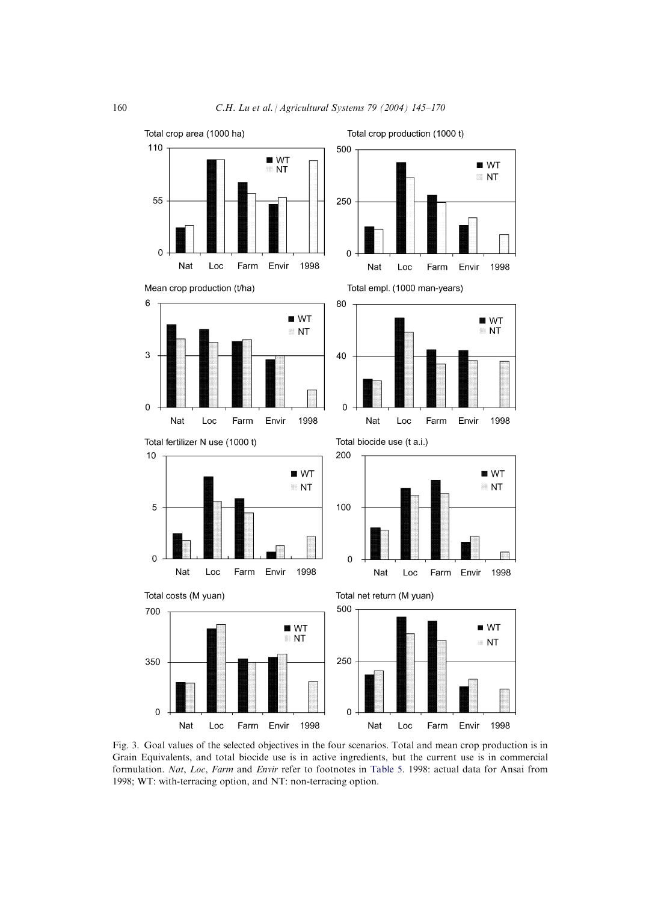<span id="page-15-0"></span>

Fig. 3. Goal values of the selected objectives in the four scenarios. Total and mean crop production is in Grain Equivalents, and total biocide use is in active ingredients, but the current use is in commercial formulation. Nat, Loc, Farm and Envir refer to footnotes in [Table 5](#page-12-0). 1998: actual data for Ansai from 1998; WT: with-terracing option, and NT: non-terracing option.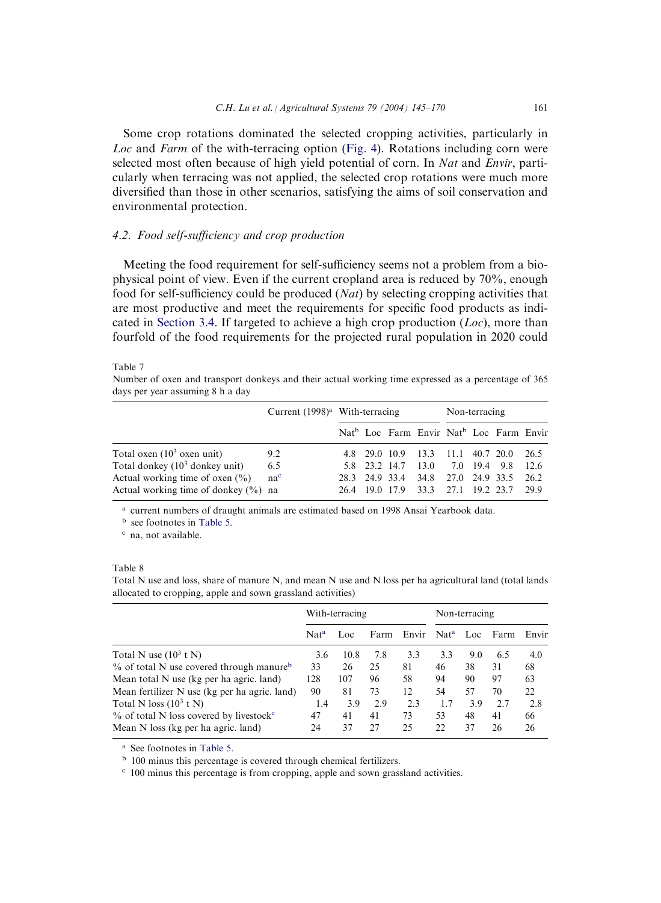<span id="page-16-0"></span>Some crop rotations dominated the selected cropping activities, particularly in Loc and Farm of the with-terracing option ([Fig. 4](#page-17-0)). Rotations including corn were selected most often because of high yield potential of corn. In Nat and Envir, particularly when terracing was not applied, the selected crop rotations were much more diversified than those in other scenarios, satisfying the aims of soil conservation and environmental protection.

# 4.2. Food self-sufficiency and crop production

Meeting the food requirement for self-sufficiency seems not a problem from a biophysical point of view. Even if the current cropland area is reduced by 70%, enough food for self-sufficiency could be produced  $(Nat)$  by selecting cropping activities that are most productive and meet the requirements for specific food products as indi-cated in [Section 3.4](#page-10-0). If targeted to achieve a high crop production  $(Loc)$ , more than fourfold of the food requirements for the projected rural population in 2020 could

Table 7

Number of oxen and transport donkeys and their actual working time expressed as a percentage of 365 days per year assuming 8 h a day

|                                          | Current $(1998)^a$ With-terracing |                |                |                     | Non-terracing  |              |                                                                 |      |
|------------------------------------------|-----------------------------------|----------------|----------------|---------------------|----------------|--------------|-----------------------------------------------------------------|------|
|                                          |                                   |                |                |                     |                |              | Nat <sup>b</sup> Loc Farm Envir Nat <sup>b</sup> Loc Farm Envir |      |
| Total oxen $(103$ oxen unit)             | 9.2                               | 4.8 29.0 10.9  |                | 13.3 11.1 40.7 20.0 |                |              |                                                                 | 26.5 |
| Total donkey $(10^3$ donkey unit)        | 6.5                               |                | 5.8 23.2 14.7  | 13.0                |                | 7.0 19.4 9.8 |                                                                 | 12.6 |
| Actual working time of oxen $(\% )$      | na <sup>c</sup>                   |                | 28.3 24.9 33.4 | 34.8                | 27.0 24.9 33.5 |              |                                                                 | 26.2 |
| Actual working time of donkey $(\% )$ na |                                   | 26.4 19.0 17.9 |                | 33.3                | 27.1           | 19.2 23.7    |                                                                 | 29.9 |

<sup>a</sup> current numbers of draught animals are estimated based on 1998 Ansai Yearbook data.

<sup>b</sup> see footnotes in [Table 5](#page-12-0).

<sup>c</sup> na, not available.

Table 8

Total N use and loss, share of manure N, and mean N use and N loss per ha agricultural land (total lands allocated to cropping, apple and sown grassland activities)

|                                                         |                  | With-terracing |      | Non-terracing |                  |     |      |       |
|---------------------------------------------------------|------------------|----------------|------|---------------|------------------|-----|------|-------|
|                                                         | Nat <sup>a</sup> | Loc            | Farm | Envir         | Nat <sup>a</sup> | Loc | Farm | Envir |
| Total N use $(10^3$ t N)                                | 3.6              | 10.8           | 7.8  | 3.3           | 3.3              | 9.0 | 6.5  | 4.0   |
| $\%$ of total N use covered through manure <sup>b</sup> | 33               | 26             | 25   | 81            | 46               | 38  | 31   | 68    |
| Mean total N use (kg per ha agric. land)                | 128              | 107            | 96   | 58            | 94               | 90  | 97   | 63    |
| Mean fertilizer N use (kg per ha agric. land)           | 90               | 81             | 73   | 12            | 54               | 57  | 70   | 22    |
| Total N loss $(10^3 \text{ t N})$                       | 1.4              | 3.9            | 2.9  | 2.3           | 1.7              | 3.9 | 2.7  | 2.8   |
| $\%$ of total N loss covered by livestock <sup>c</sup>  | 47               | 41             | 41   | 73            | 53               | 48  | 41   | 66    |
| Mean N loss (kg per ha agric. land)                     | 24               | 37             | 27   | 25            | 22               | 37  | 26   | 26    |

<sup>a</sup> See footnotes in [Table 5](#page-12-0).

 $<sup>b</sup>$  100 minus this percentage is covered through chemical fertilizers.</sup>

<sup>c</sup> 100 minus this percentage is from cropping, apple and sown grassland activities.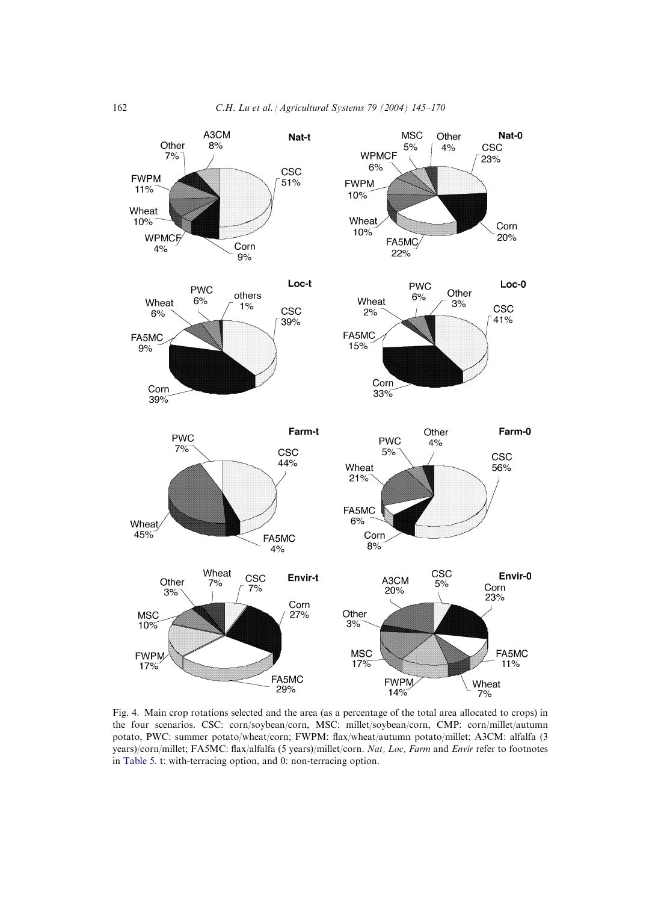<span id="page-17-0"></span>

Fig. 4. Main crop rotations selected and the area (as a percentage of the total area allocated to crops) in the four scenarios. CSC: corn/soybean/corn, MSC: millet/soybean/corn, CMP: corn/millet/autumn potato, PWC: summer potato/wheat/corn; FWPM: flax/wheat/autumn potato/millet; A3CM: alfalfa (3 years)/corn/millet; FA5MC: flax/alfalfa (5 years)/millet/corn. Nat, Loc, Farm and Envir refer to footnotes in [Table 5](#page-12-0). t: with-terracing option, and 0: non-terracing option.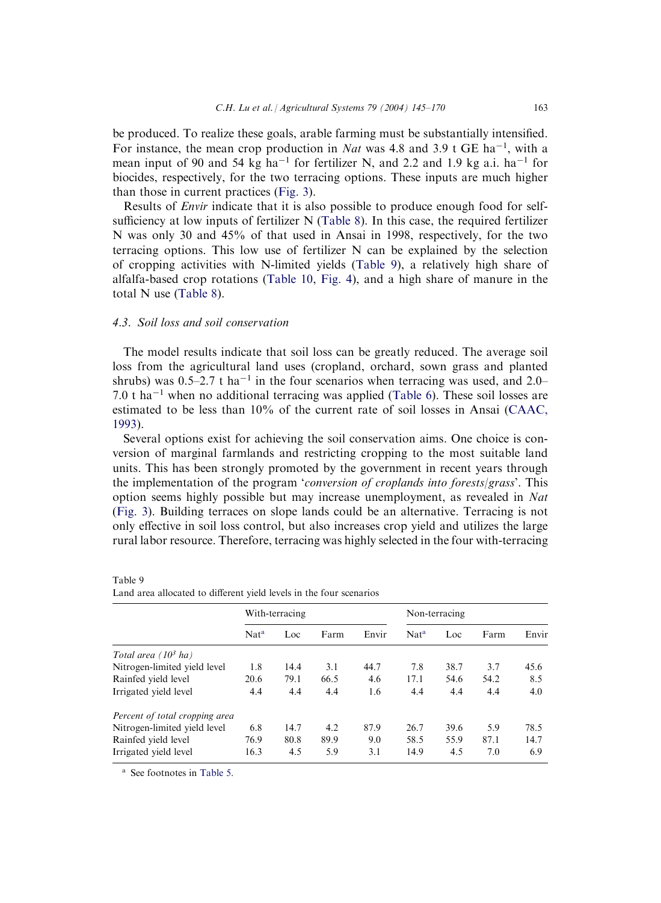be produced. To realize these goals, arable farming must be substantially intensified. For instance, the mean crop production in Nat was 4.8 and 3.9 t GE ha<sup>-1</sup>, with a mean input of 90 and 54  $\text{kg}$  ha<sup>-1</sup> for fertilizer N, and 2.2 and 1.9 kg a.i. ha<sup>-1</sup> for biocides, respectively, for the two terracing options. These inputs are much higher than those in current practices [\(Fig. 3](#page-15-0)).

Results of *Envir* indicate that it is also possible to produce enough food for selfsufficiency at low inputs of fertilizer N ([Table 8\)](#page-16-0). In this case, the required fertilizer N was only 30 and 45% of that used in Ansai in 1998, respectively, for the two terracing options. This low use of fertilizer N can be explained by the selection of cropping activities with N-limited yields (Table 9), a relatively high share of alfalfa-based crop rotations ([Table 10,](#page-19-0) [Fig. 4](#page-17-0)), and a high share of manure in the total N use ([Table 8\)](#page-16-0).

## 4.3. Soil loss and soil conservation

The model results indicate that soil loss can be greatly reduced. The average soil loss from the agricultural land uses (cropland, orchard, sown grass and planted shrubs) was  $0.5-2.7$  t ha<sup>-1</sup> in the four scenarios when terracing was used, and 2.0– 7.0 t ha<sup> $-1$ </sup> when no additional terracing was applied [\(Table 6\)](#page-14-0). These soil losses are estimated to be less than 10% of the current rate of soil losses in Ansai ([CAAC,](#page-9-0) [1993\)](#page-9-0).

Several options exist for achieving the soil conservation aims. One choice is conversion of marginal farmlands and restricting cropping to the most suitable land units. This has been strongly promoted by the government in recent years through the implementation of the program 'conversion of croplands into forests/grass'. This option seems highly possible but may increase unemployment, as revealed in Nat ([Fig. 3\)](#page-15-0). Building terraces on slope lands could be an alternative. Terracing is not only effective in soil loss control, but also increases crop yield and utilizes the large rural labor resource. Therefore, terracing was highly selected in the four with-terracing

|                                |      | With-terracing |      |       | Non-terracing    |      |      |       |  |  |
|--------------------------------|------|----------------|------|-------|------------------|------|------|-------|--|--|
|                                | Nata | Loc            | Farm | Envir | Nat <sup>a</sup> | Loc  | Farm | Envir |  |  |
| Total area $(10^3$ ha)         |      |                |      |       |                  |      |      |       |  |  |
| Nitrogen-limited yield level   | 1.8  | 14.4           | 3.1  | 44.7  | 7.8              | 38.7 | 3.7  | 45.6  |  |  |
| Rainfed yield level            | 20.6 | 79.1           | 66.5 | 4.6   | 17.1             | 54.6 | 54.2 | 8.5   |  |  |
| Irrigated yield level          | 4.4  | 4.4            | 4.4  | 1.6   | 4.4              | 4.4  | 4.4  | 4.0   |  |  |
| Percent of total cropping area |      |                |      |       |                  |      |      |       |  |  |
| Nitrogen-limited yield level   | 6.8  | 14.7           | 4.2  | 87.9  | 26.7             | 39.6 | 5.9  | 78.5  |  |  |
| Rainfed yield level            | 76.9 | 80.8           | 89.9 | 9.0   | 58.5             | 55.9 | 87.1 | 14.7  |  |  |
| Irrigated yield level          | 16.3 | 4.5            | 5.9  | 3.1   | 14.9             | 4.5  | 7.0  | 6.9   |  |  |

Table 9

|  |  | Land area allocated to different yield levels in the four scenarios |  |  |  |  |  |  |  |  |
|--|--|---------------------------------------------------------------------|--|--|--|--|--|--|--|--|
|--|--|---------------------------------------------------------------------|--|--|--|--|--|--|--|--|

<sup>a</sup> See footnotes in [Table 5](#page-12-0).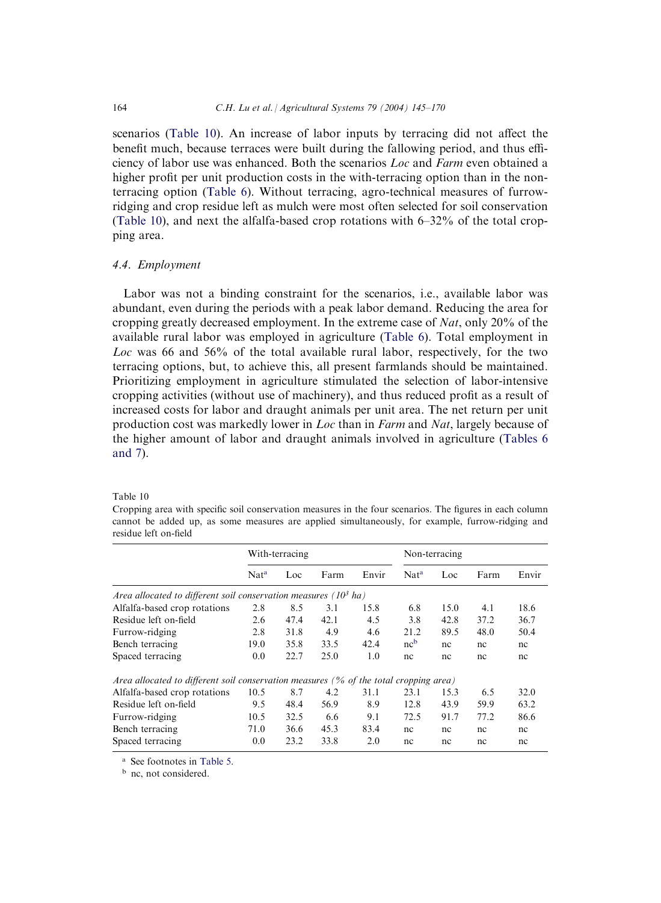<span id="page-19-0"></span>scenarios (Table 10). An increase of labor inputs by terracing did not affect the benefit much, because terraces were built during the fallowing period, and thus efficiency of labor use was enhanced. Both the scenarios Loc and Farm even obtained a higher profit per unit production costs in the with-terracing option than in the nonterracing option [\(Table 6](#page-14-0)). Without terracing, agro-technical measures of furrowridging and crop residue left as mulch were most often selected for soil conservation (Table 10), and next the alfalfa-based crop rotations with 6–32% of the total cropping area.

# 4.4. Employment

Labor was not a binding constraint for the scenarios, i.e., available labor was abundant, even during the periods with a peak labor demand. Reducing the area for cropping greatly decreased employment. In the extreme case of Nat, only 20% of the available rural labor was employed in agriculture [\(Table 6](#page-14-0)). Total employment in Loc was 66 and 56% of the total available rural labor, respectively, for the two terracing options, but, to achieve this, all present farmlands should be maintained. Prioritizing employment in agriculture stimulated the selection of labor-intensive cropping activities (without use of machinery), and thus reduced profit as a result of increased costs for labor and draught animals per unit area. The net return per unit production cost was markedly lower in Loc than in Farm and Nat, largely because of the higher amount of labor and draught animals involved in agriculture ([Tables 6](#page-14-0) [and 7\)](#page-14-0).

| residue left on-field                                                                     |                |      |      |       |                 |      |      |       |
|-------------------------------------------------------------------------------------------|----------------|------|------|-------|-----------------|------|------|-------|
|                                                                                           | With-terracing |      |      |       | Non-terracing   |      |      |       |
|                                                                                           | Nata           | Loc  | Farm | Envir | Nata            | Loc  | Farm | Envir |
| Area allocated to different soil conservation measures ( $10^3$ ha)                       |                |      |      |       |                 |      |      |       |
| Alfalfa-based crop rotations                                                              | 2.8            | 8.5  | 3.1  | 15.8  | 6.8             | 15.0 | 4.1  | 18.6  |
| Residue left on-field                                                                     | 2.6            | 47.4 | 42.1 | 4.5   | 3.8             | 42.8 | 37.2 | 36.7  |
| Furrow-ridging                                                                            | 2.8            | 31.8 | 4.9  | 4.6   | 21.2            | 89.5 | 48.0 | 50.4  |
| Bench terracing                                                                           | 19.0           | 35.8 | 33.5 | 42.4  | nc <sup>b</sup> | nc   | nc   | nc    |
| Spaced terracing                                                                          | 0.0            | 22.7 | 25.0 | 1.0   | nc              | nc   | nc   | nc    |
| Area allocated to different soil conservation measures ( $\%$ of the total cropping area) |                |      |      |       |                 |      |      |       |
| Alfalfa-based crop rotations                                                              | 10.5           | 8.7  | 4.2  | 31.1  | 23.1            | 15.3 | 6.5  | 32.0  |
| Residue left on-field                                                                     | 9.5            | 48.4 | 56.9 | 8.9   | 12.8            | 43.9 | 59.9 | 63.2  |
| Furrow-ridging                                                                            | 10.5           | 32.5 | 6.6  | 9.1   | 72.5            | 91.7 | 77.2 | 86.6  |
| Bench terracing                                                                           | 71.0           | 36.6 | 45.3 | 83.4  | nc              | nc   | nc   | nc    |
| Spaced terracing                                                                          | 0.0            | 23.2 | 33.8 | 2.0   | nc              | nc   | nc   | nc    |

Table 10

Cropping area with specific soil conservation measures in the four scenarios. The figures in each column cannot be added up, as some measures are applied simultaneously, for example, furrow-ridging and residue left on-field

<sup>a</sup> See footnotes in [Table 5](#page-12-0).

b nc, not considered.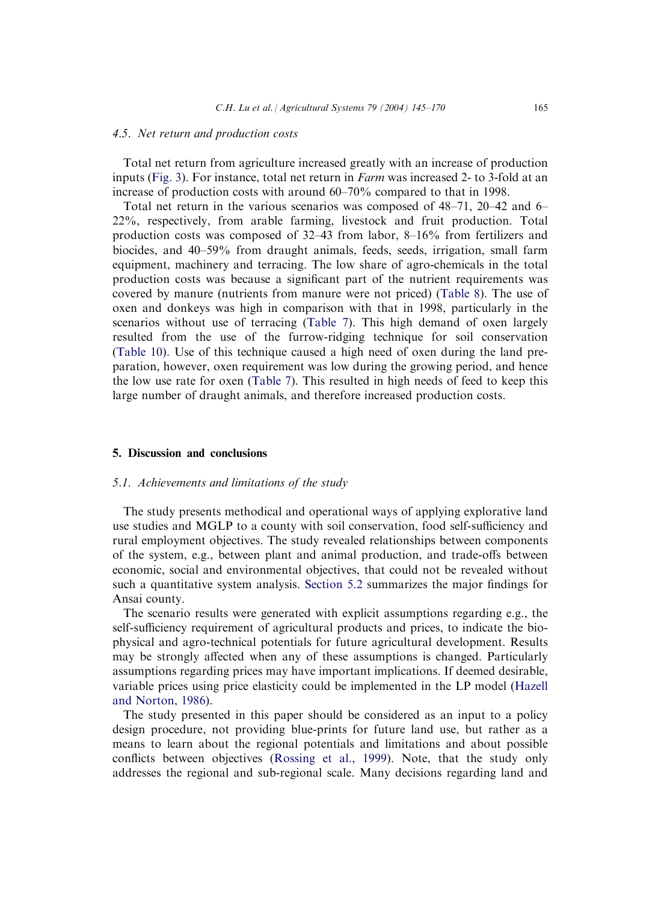## <span id="page-20-0"></span>4.5. Net return and production costs

Total net return from agriculture increased greatly with an increase of production inputs ([Fig. 3](#page-15-0)). For instance, total net return in Farm was increased 2- to 3-fold at an increase of production costs with around 60–70% compared to that in 1998.

Total net return in the various scenarios was composed of 48–71, 20–42 and 6– 22%, respectively, from arable farming, livestock and fruit production. Total production costs was composed of 32–43 from labor, 8–16% from fertilizers and biocides, and 40–59% from draught animals, feeds, seeds, irrigation, small farm equipment, machinery and terracing. The low share of agro-chemicals in the total production costs was because a significant part of the nutrient requirements was covered by manure (nutrients from manure were not priced) ([Table 8](#page-16-0)). The use of oxen and donkeys was high in comparison with that in 1998, particularly in the scenarios without use of terracing ([Table 7\)](#page-16-0). This high demand of oxen largely resulted from the use of the furrow-ridging technique for soil conservation ([Table 10\)](#page-19-0). Use of this technique caused a high need of oxen during the land preparation, however, oxen requirement was low during the growing period, and hence the low use rate for oxen [\(Table 7\)](#page-16-0). This resulted in high needs of feed to keep this large number of draught animals, and therefore increased production costs.

#### 5. Discussion and conclusions

#### 5.1. Achievements and limitations of the study

The study presents methodical and operational ways of applying explorative land use studies and MGLP to a county with soil conservation, food self-sufficiency and rural employment objectives. The study revealed relationships between components of the system, e.g., between plant and animal production, and trade-offs between economic, social and environmental objectives, that could not be revealed without such a quantitative system analysis. [Section 5.2](#page-21-0) summarizes the major findings for Ansai county.

The scenario results were generated with explicit assumptions regarding e.g., the self-sufficiency requirement of agricultural products and prices, to indicate the biophysical and agro-technical potentials for future agricultural development. Results may be strongly affected when any of these assumptions is changed. Particularly assumptions regarding prices may have important implications. If deemed desirable, variable prices using price elasticity could be implemented in the LP model ([Hazell](#page-23-0) [and Norton, 1986](#page-23-0)).

The study presented in this paper should be considered as an input to a policy design procedure, not providing blue-prints for future land use, but rather as a means to learn about the regional potentials and limitations and about possible conflicts between objectives ([Rossing et al., 1999\)](#page-25-0). Note, that the study only addresses the regional and sub-regional scale. Many decisions regarding land and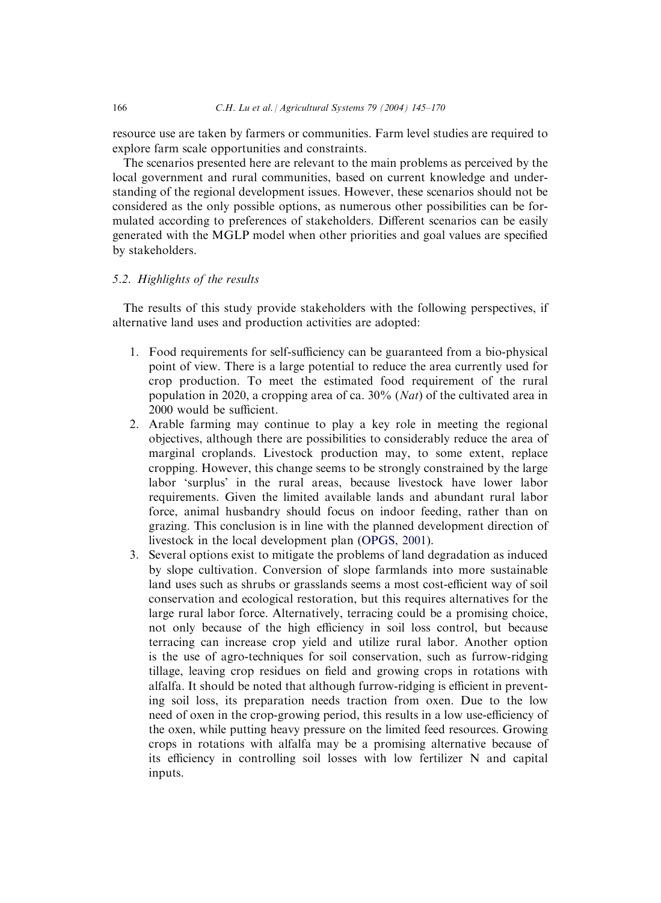resource use are taken by farmers or communities. Farm level studies are required to explore farm scale opportunities and constraints.

The scenarios presented here are relevant to the main problems as perceived by the local government and rural communities, based on current knowledge and understanding of the regional development issues. However, these scenarios should not be considered as the only possible options, as numerous other possibilities can be formulated according to preferences of stakeholders. Different scenarios can be easily generated with the MGLP model when other priorities and goal values are specified by stakeholders.

## 5.2. Highlights of the results

The results of this study provide stakeholders with the following perspectives, if alternative land uses and production activities are adopted:

- 1. Food requirements for self-sufficiency can be guaranteed from a bio-physical point of view. There is a large potential to reduce the area currently used for crop production. To meet the estimated food requirement of the rural population in 2020, a cropping area of ca. 30% (Nat) of the cultivated area in 2000 would be sufficient.
- 2. Arable farming may continue to play a key role in meeting the regional objectives, although there are possibilities to considerably reduce the area of marginal croplands. Livestock production may, to some extent, replace cropping. However, this change seems to be strongly constrained by the large labor 'surplus' in the rural areas, because livestock have lower labor requirements. Given the limited available lands and abundant rural labor force, animal husbandry should focus on indoor feeding, rather than on grazing. This conclusion is in line with the planned development direction of livestock in the local development plan ([OPGS, 2001](#page-24-0)).
- 3. Several options exist to mitigate the problems of land degradation as induced by slope cultivation. Conversion of slope farmlands into more sustainable land uses such as shrubs or grasslands seems a most cost-efficient way of soil conservation and ecological restoration, but this requires alternatives for the large rural labor force. Alternatively, terracing could be a promising choice, not only because of the high efficiency in soil loss control, but because terracing can increase crop yield and utilize rural labor. Another option is the use of agro-techniques for soil conservation, such as furrow-ridging tillage, leaving crop residues on field and growing crops in rotations with alfalfa. It should be noted that although furrow-ridging is efficient in preventing soil loss, its preparation needs traction from oxen. Due to the low need of oxen in the crop-growing period, this results in a low use-efficiency of the oxen, while putting heavy pressure on the limited feed resources. Growing crops in rotations with alfalfa may be a promising alternative because of its efficiency in controlling soil losses with low fertilizer N and capital inputs.

<span id="page-21-0"></span>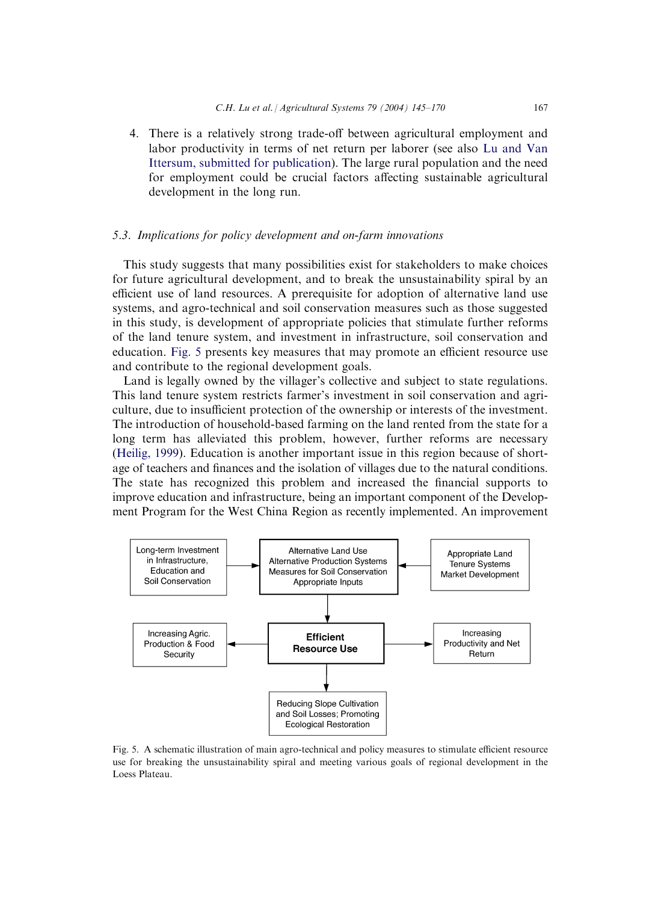4. There is a relatively strong trade-off between agricultural employment and labor productivity in terms of net return per laborer (see also [Lu and Van](#page-24-0) [Ittersum, submitted for publication\)](#page-24-0). The large rural population and the need for employment could be crucial factors affecting sustainable agricultural development in the long run.

## 5.3. Implications for policy development and on-farm innovations

This study suggests that many possibilities exist for stakeholders to make choices for future agricultural development, and to break the unsustainability spiral by an efficient use of land resources. A prerequisite for adoption of alternative land use systems, and agro-technical and soil conservation measures such as those suggested in this study, is development of appropriate policies that stimulate further reforms of the land tenure system, and investment in infrastructure, soil conservation and education. Fig. 5 presents key measures that may promote an efficient resource use and contribute to the regional development goals.

Land is legally owned by the villager's collective and subject to state regulations. This land tenure system restricts farmer's investment in soil conservation and agriculture, due to insufficient protection of the ownership or interests of the investment. The introduction of household-based farming on the land rented from the state for a long term has alleviated this problem, however, further reforms are necessary ([Heilig, 1999](#page-24-0)). Education is another important issue in this region because of shortage of teachers and finances and the isolation of villages due to the natural conditions. The state has recognized this problem and increased the financial supports to improve education and infrastructure, being an important component of the Development Program for the West China Region as recently implemented. An improvement



Fig. 5. A schematic illustration of main agro-technical and policy measures to stimulate efficient resource use for breaking the unsustainability spiral and meeting various goals of regional development in the Loess Plateau.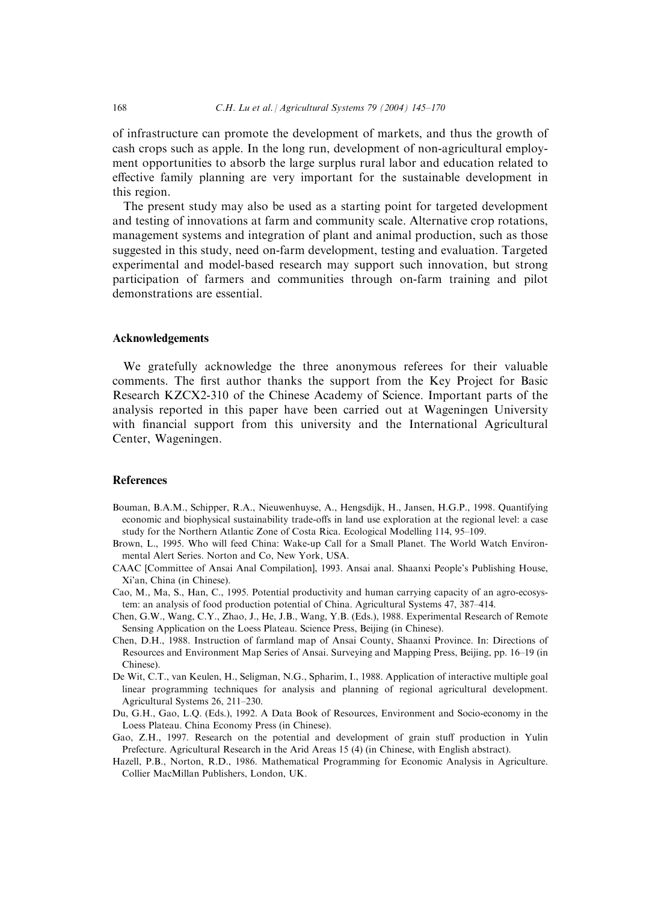<span id="page-23-0"></span>of infrastructure can promote the development of markets, and thus the growth of cash crops such as apple. In the long run, development of non-agricultural employment opportunities to absorb the large surplus rural labor and education related to effective family planning are very important for the sustainable development in this region.

The present study may also be used as a starting point for targeted development and testing of innovations at farm and community scale. Alternative crop rotations, management systems and integration of plant and animal production, such as those suggested in this study, need on-farm development, testing and evaluation. Targeted experimental and model-based research may support such innovation, but strong participation of farmers and communities through on-farm training and pilot demonstrations are essential.

### Acknowledgements

We gratefully acknowledge the three anonymous referees for their valuable comments. The first author thanks the support from the Key Project for Basic Research KZCX2-310 of the Chinese Academy of Science. Important parts of the analysis reported in this paper have been carried out at Wageningen University with financial support from this university and the International Agricultural Center, Wageningen.

## References

- Bouman, B.A.M., Schipper, R.A., Nieuwenhuyse, A., Hengsdijk, H., Jansen, H.G.P., 1998. Quantifying economic and biophysical sustainability trade-offs in land use exploration at the regional level: a case study for the Northern Atlantic Zone of Costa Rica. Ecological Modelling 114, 95–109.
- Brown, L., 1995. Who will feed China: Wake-up Call for a Small Planet. The World Watch Environmental Alert Series. Norton and Co, New York, USA.
- CAAC [Committee of Ansai Anal Compilation], 1993. Ansai anal. Shaanxi People's Publishing House, Xi'an, China (in Chinese).
- Cao, M., Ma, S., Han, C., 1995. Potential productivity and human carrying capacity of an agro-ecosystem: an analysis of food production potential of China. Agricultural Systems 47, 387–414.
- Chen, G.W., Wang, C.Y., Zhao, J., He, J.B., Wang, Y.B. (Eds.), 1988. Experimental Research of Remote Sensing Application on the Loess Plateau. Science Press, Beijing (in Chinese).
- Chen, D.H., 1988. Instruction of farmland map of Ansai County, Shaanxi Province. In: Directions of Resources and Environment Map Series of Ansai. Surveying and Mapping Press, Beijing, pp. 16–19 (in Chinese).
- De Wit, C.T., van Keulen, H., Seligman, N.G., Spharim, I., 1988. Application of interactive multiple goal linear programming techniques for analysis and planning of regional agricultural development. Agricultural Systems 26, 211–230.
- Du, G.H., Gao, L.Q. (Eds.), 1992. A Data Book of Resources, Environment and Socio-economy in the Loess Plateau. China Economy Press (in Chinese).
- Gao, Z.H., 1997. Research on the potential and development of grain stuff production in Yulin Prefecture. Agricultural Research in the Arid Areas 15 (4) (in Chinese, with English abstract).
- Hazell, P.B., Norton, R.D., 1986. Mathematical Programming for Economic Analysis in Agriculture. Collier MacMillan Publishers, London, UK.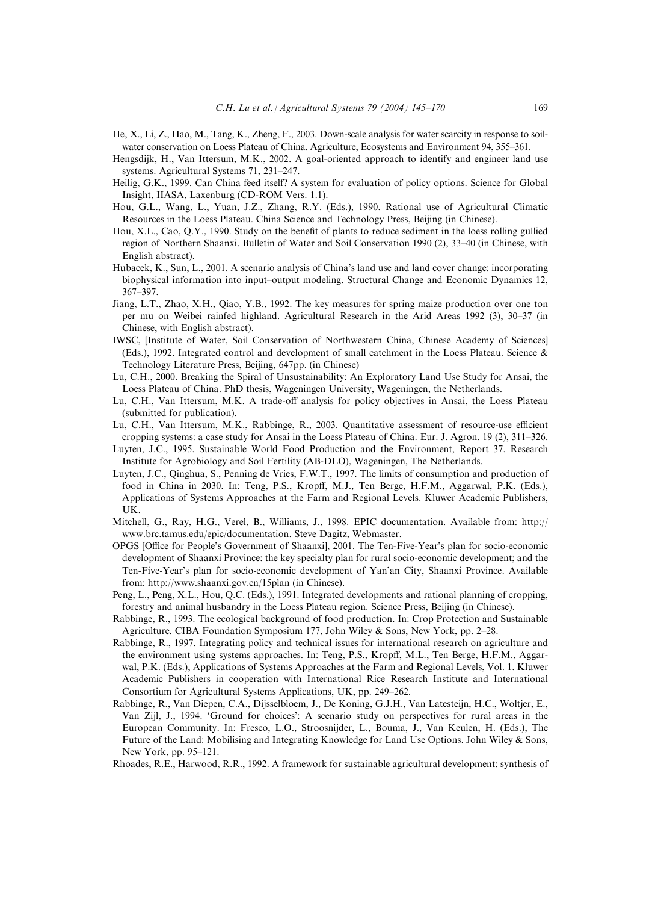- <span id="page-24-0"></span>He, X., Li, Z., Hao, M., Tang, K., Zheng, F., 2003. Down-scale analysis for water scarcity in response to soilwater conservation on Loess Plateau of China. Agriculture, Ecosystems and Environment 94, 355–361.
- Hengsdijk, H., Van Ittersum, M.K., 2002. A goal-oriented approach to identify and engineer land use systems. Agricultural Systems 71, 231–247.
- Heilig, G.K., 1999. Can China feed itself? A system for evaluation of policy options. Science for Global Insight, IIASA, Laxenburg (CD-ROM Vers. 1.1).
- Hou, G.L., Wang, L., Yuan, J.Z., Zhang, R.Y. (Eds.), 1990. Rational use of Agricultural Climatic Resources in the Loess Plateau. China Science and Technology Press, Beijing (in Chinese).
- Hou, X.L., Cao, Q.Y., 1990. Study on the benefit of plants to reduce sediment in the loess rolling gullied region of Northern Shaanxi. Bulletin of Water and Soil Conservation 1990 (2), 33–40 (in Chinese, with English abstract).
- Hubacek, K., Sun, L., 2001. A scenario analysis of China's land use and land cover change: incorporating biophysical information into input–output modeling. Structural Change and Economic Dynamics 12, 367–397.
- Jiang, L.T., Zhao, X.H., Qiao, Y.B., 1992. The key measures for spring maize production over one ton per mu on Weibei rainfed highland. Agricultural Research in the Arid Areas 1992 (3), 30–37 (in Chinese, with English abstract).
- IWSC, [Institute of Water, Soil Conservation of Northwestern China, Chinese Academy of Sciences] (Eds.), 1992. Integrated control and development of small catchment in the Loess Plateau. Science & Technology Literature Press, Beijing, 647pp. (in Chinese)
- Lu, C.H., 2000. Breaking the Spiral of Unsustainability: An Exploratory Land Use Study for Ansai, the Loess Plateau of China. PhD thesis, Wageningen University, Wageningen, the Netherlands.
- Lu, C.H., Van Ittersum, M.K. A trade-off analysis for policy objectives in Ansai, the Loess Plateau (submitted for publication).
- Lu, C.H., Van Ittersum, M.K., Rabbinge, R., 2003. Quantitative assessment of resource-use efficient cropping systems: a case study for Ansai in the Loess Plateau of China. Eur. J. Agron. 19 (2), 311–326.
- Luyten, J.C., 1995. Sustainable World Food Production and the Environment, Report 37. Research Institute for Agrobiology and Soil Fertility (AB-DLO), Wageningen, The Netherlands.
- Luyten, J.C., Qinghua, S., Penning de Vries, F.W.T., 1997. The limits of consumption and production of food in China in 2030. In: Teng, P.S., Kropff, M.J., Ten Berge, H.F.M., Aggarwal, P.K. (Eds.), Applications of Systems Approaches at the Farm and Regional Levels. Kluwer Academic Publishers, UK.
- Mitchell, G., Ray, H.G., Verel, B., Williams, J., 1998. EPIC documentation. Available from: http:// www.brc.tamus.edu/epic/documentation. Steve Dagitz, Webmaster.
- OPGS [Office for People's Government of Shaanxi], 2001. The Ten-Five-Year's plan for socio-economic development of Shaanxi Province: the key specialty plan for rural socio-economic development; and the Ten-Five-Year's plan for socio-economic development of Yan'an City, Shaanxi Province. Available from: http://www.shaanxi.gov.cn/15plan (in Chinese).
- Peng, L., Peng, X.L., Hou, Q.C. (Eds.), 1991. Integrated developments and rational planning of cropping, forestry and animal husbandry in the Loess Plateau region. Science Press, Beijing (in Chinese).
- Rabbinge, R., 1993. The ecological background of food production. In: Crop Protection and Sustainable Agriculture. CIBA Foundation Symposium 177, John Wiley & Sons, New York, pp. 2–28.
- Rabbinge, R., 1997. Integrating policy and technical issues for international research on agriculture and the environment using systems approaches. In: Teng, P.S., Kropff, M.L., Ten Berge, H.F.M., Aggarwal, P.K. (Eds.), Applications of Systems Approaches at the Farm and Regional Levels, Vol. 1. Kluwer Academic Publishers in cooperation with International Rice Research Institute and International Consortium for Agricultural Systems Applications, UK, pp. 249–262.
- Rabbinge, R., Van Diepen, C.A., Dijsselbloem, J., De Koning, G.J.H., Van Latesteijn, H.C., Woltjer, E., Van Zijl, J., 1994. 'Ground for choices': A scenario study on perspectives for rural areas in the European Community. In: Fresco, L.O., Stroosnijder, L., Bouma, J., Van Keulen, H. (Eds.), The Future of the Land: Mobilising and Integrating Knowledge for Land Use Options. John Wiley & Sons, New York, pp. 95–121.

Rhoades, R.E., Harwood, R.R., 1992. A framework for sustainable agricultural development: synthesis of